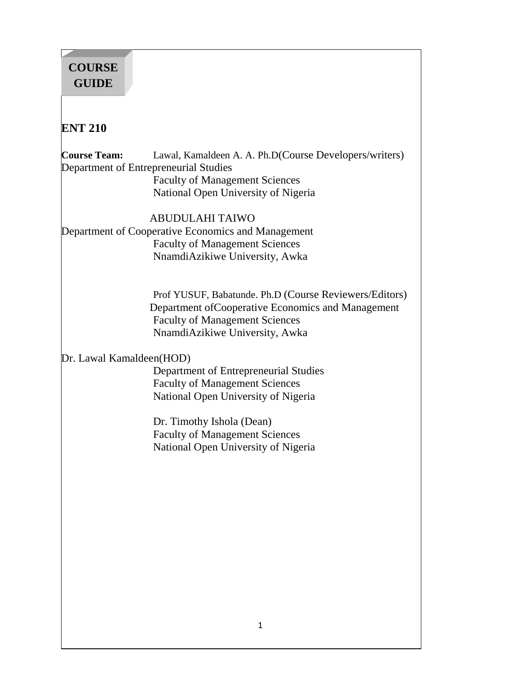# **COURSE GUIDE**

# **ENT 210**

**Course Team:** Lawal, Kamaldeen A. A. Ph.D(Course Developers/writers) Department of Entrepreneurial Studies Faculty of Management Sciences National Open University of Nigeria

# ABUDULAHI TAIWO

Department of Cooperative Economics and Management Faculty of Management Sciences NnamdiAzikiwe University, Awka

> Prof YUSUF, Babatunde. Ph.D (Course Reviewers/Editors) Department ofCooperative Economics and Management Faculty of Management Sciences NnamdiAzikiwe University, Awka

# Dr. Lawal Kamaldeen(HOD)

Department of Entrepreneurial Studies Faculty of Management Sciences National Open University of Nigeria

Dr. Timothy Ishola (Dean) Faculty of Management Sciences National Open University of Nigeria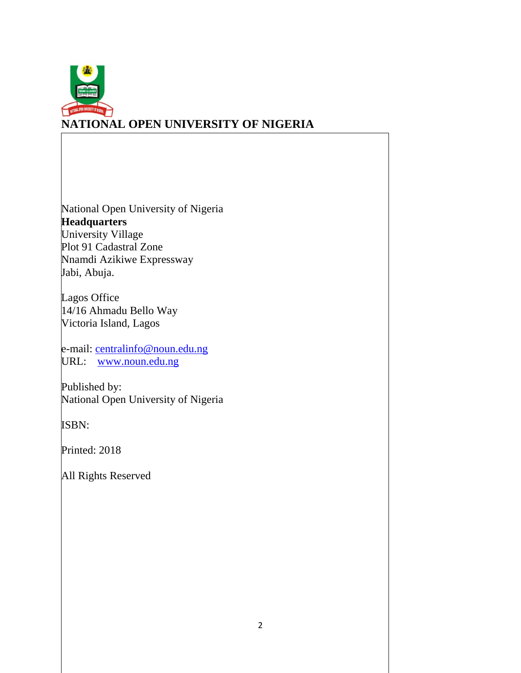

# **NATIONAL OPEN UNIVERSITY OF NIGERIA**

National Open University of Nigeria **Headquarters** University Village Plot 91 Cadastral Zone Nnamdi Azikiwe Expressway Jabi, Abuja.

Lagos Office 14/16 Ahmadu Bello Way Victoria Island, Lagos

e-mail: [centralinfo@noun.edu.ng](mailto:centralinfo@noun.edu.ng) URL: [www.noun.edu.ng](http://www.noun.edu.ng/)

Published by: National Open University of Nigeria

ISBN:

Printed: 2018

All Rights Reserved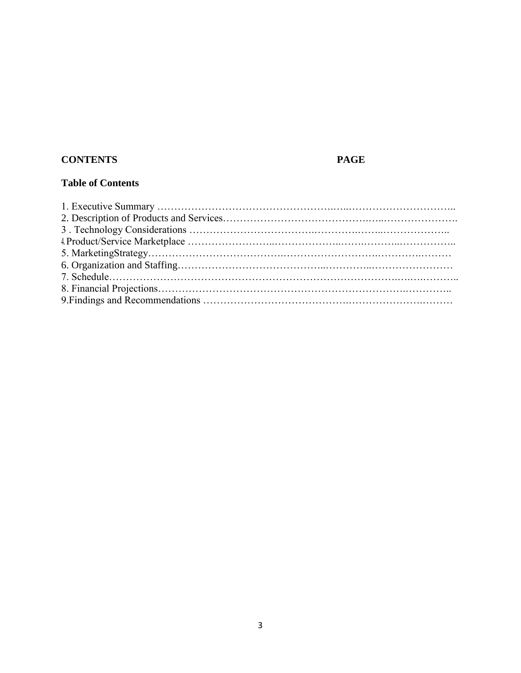# **CONTENTS PAGE**

# **Table of Contents**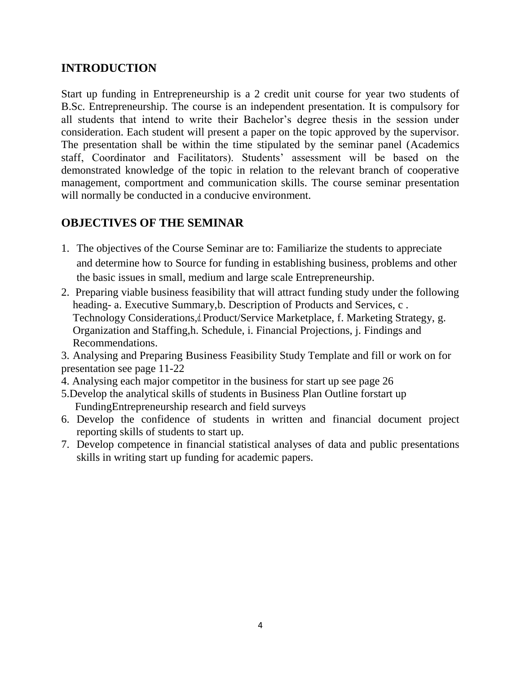# **INTRODUCTION**

Start up funding in Entrepreneurship is a 2 credit unit course for year two students of B.Sc. Entrepreneurship. The course is an independent presentation. It is compulsory for all students that intend to write their Bachelor's degree thesis in the session under consideration. Each student will present a paper on the topic approved by the supervisor. The presentation shall be within the time stipulated by the seminar panel (Academics staff, Coordinator and Facilitators). Students' assessment will be based on the demonstrated knowledge of the topic in relation to the relevant branch of cooperative management, comportment and communication skills. The course seminar presentation will normally be conducted in a conducive environment.

# **OBJECTIVES OF THE SEMINAR**

- 1. The objectives of the Course Seminar are to: Familiarize the students to appreciate and determine how to Source for funding in establishing business, problems and other the basic issues in small, medium and large scale Entrepreneurship.
- 2. Preparing viable business feasibility that will attract funding study under the following heading- a. Executive Summary,b. Description of Products and Services, c . Technology Considerations,d. Product/Service Marketplace, f. Marketing Strategy, g. Organization and Staffing,h. Schedule, i. Financial Projections, j. Findings and Recommendations.
- 3. Analysing and Preparing Business Feasibility Study Template and fill or work on for presentation see page 11-22
- 4. Analysing each major competitor in the business for start up see page 26
- 5.Develop the analytical skills of students in Business Plan Outline forstart up FundingEntrepreneurship research and field surveys
- 6. Develop the confidence of students in written and financial document project reporting skills of students to start up.
- 7. Develop competence in financial statistical analyses of data and public presentations skills in writing start up funding for academic papers.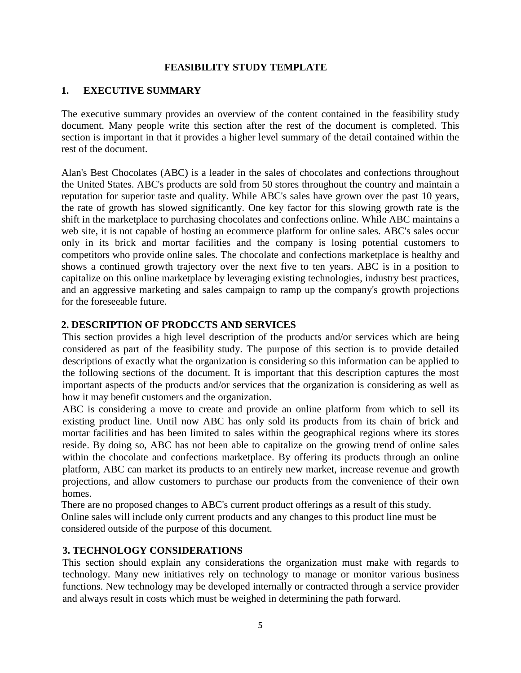#### **FEASIBILITY STUDY TEMPLATE**

#### **1. EXECUTIVE SUMMARY**

The executive summary provides an overview of the content contained in the feasibility study document. Many people write this section after the rest of the document is completed. This section is important in that it provides a higher level summary of the detail contained within the rest of the document.

Alan's Best Chocolates (ABC) is a leader in the sales of chocolates and confections throughout the United States. ABC's products are sold from 50 stores throughout the country and maintain a reputation for superior taste and quality. While ABC's sales have grown over the past 10 years, the rate of growth has slowed significantly. One key factor for this slowing growth rate is the shift in the marketplace to purchasing chocolates and confections online. While ABC maintains a web site, it is not capable of hosting an ecommerce platform for online sales. ABC's sales occur only in its brick and mortar facilities and the company is losing potential customers to competitors who provide online sales. The chocolate and confections marketplace is healthy and shows a continued growth trajectory over the next five to ten years. ABC is in a position to capitalize on this online marketplace by leveraging existing technologies, industry best practices, and an aggressive marketing and sales campaign to ramp up the company's growth projections for the foreseeable future.

#### **2. DESCRIPTION OF PRODCCTS AND SERVICES**

This section provides a high level description of the products and/or services which are being considered as part of the feasibility study. The purpose of this section is to provide detailed descriptions of exactly what the organization is considering so this information can be applied to the following sections of the document. It is important that this description captures the most important aspects of the products and/or services that the organization is considering as well as how it may benefit customers and the organization.

ABC is considering a move to create and provide an online platform from which to sell its existing product line. Until now ABC has only sold its products from its chain of brick and mortar facilities and has been limited to sales within the geographical regions where its stores reside. By doing so, ABC has not been able to capitalize on the growing trend of online sales within the chocolate and confections marketplace. By offering its products through an online platform, ABC can market its products to an entirely new market, increase revenue and growth projections, and allow customers to purchase our products from the convenience of their own homes.

There are no proposed changes to ABC's current product offerings as a result of this study. Online sales will include only current products and any changes to this product line must be considered outside of the purpose of this document.

#### **3. TECHNOLOGY CONSIDERATIONS**

This section should explain any considerations the organization must make with regards to technology. Many new initiatives rely on technology to manage or monitor various business functions. New technology may be developed internally or contracted through a service provider and always result in costs which must be weighed in determining the path forward.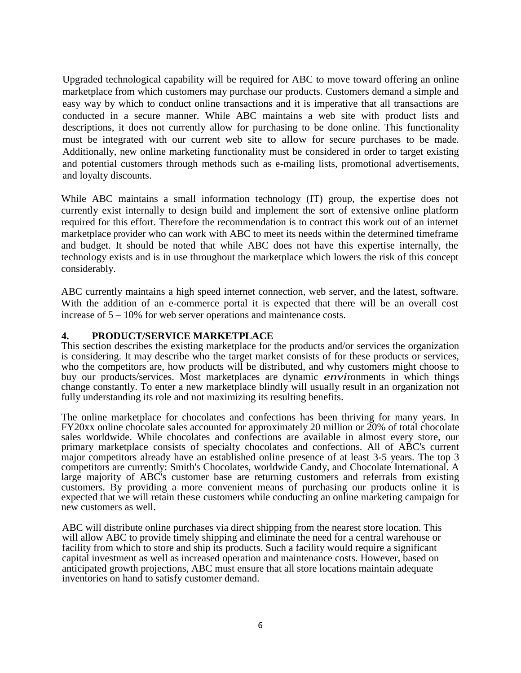Upgraded technological capability will be required for ABC to move toward offering an online marketplace from which customers may purchase our products. Customers demand a simple and easy way by which to conduct online transactions and it is imperative that all transactions are conducted in a secure manner. While ABC maintains a web site with product lists and descriptions, it does not currently allow for purchasing to be done online. This functionality must be integrated with our current web site to allow for secure purchases to be made. Additionally, new online marketing functionality must be considered in order to target existing and potential customers through methods such as e-mailing lists, promotional advertisements, and loyalty discounts.

While ABC maintains a small information technology (IT) group, the expertise does not currently exist internally to design build and implement the sort of extensive online platform required for this effort. Therefore the recommendation is to contract this work out of an internet marketplace provider who can work with ABC to meet its needs within the determined timeframe and budget. It should be noted that while ABC does not have this expertise internally, the technology exists and is in use throughout the marketplace which lowers the risk of this concept considerably.

ABC currently maintains a high speed internet connection, web server, and the latest, software. With the addition of an e-commerce portal it is expected that there will be an overall cost increase of 5 – 10% for web server operations and maintenance costs.

#### **4. PRODUCT/SERVICE MARKETPLACE**

This section describes the existing marketplace for the products and/or services the organization is considering. It may describe who the target market consists of for these products or services, who the competitors are, how products will be distributed, and why customers might choose to buy our products/services. Most marketplaces are dynamic *envi*ronments in which things change constantly. To enter a new marketplace blindly will usually result in an organization not fully understanding its role and not maximizing its resulting benefits.

The online marketplace for chocolates and confections has been thriving for many years. In FY20xx online chocolate sales accounted for approximately 20 million or 20% of total chocolate sales worldwide. While chocolates and confections are available in almost every store, our primary marketplace consists of specialty chocolates and confections. All of ABC's current major competitors already have an established online presence of at least 3-5 years. The top 3 competitors are currently: Smith's Chocolates, worldwide Candy, and Chocolate International. A large majority of ABC's customer base are returning customers and referrals from existing customers. By providing a more convenient means of purchasing our products online it is expected that we will retain these customers while conducting an online marketing campaign for new customers as well.

ABC will distribute online purchases via direct shipping from the nearest store location. This will allow ABC to provide timely shipping and eliminate the need for a central warehouse or facility from which to store and ship its products. Such a facility would require a significant capital investment as well as increased operation and maintenance costs. However, based on anticipated growth projections, ABC must ensure that all store locations maintain adequate inventories on hand to satisfy customer demand.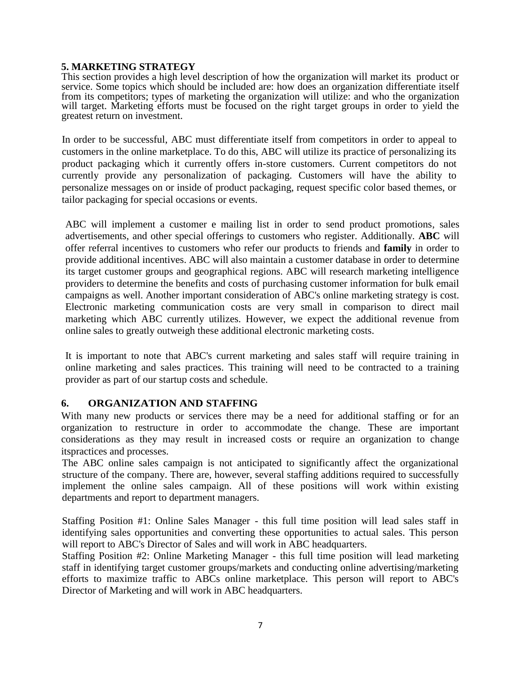#### **5. MARKETING STRATEGY**

This section provides a high level description of how the organization will market its product or service. Some topics which should be included are: how does an organization differentiate itself from its competitors; types of marketing the organization will utilize: and who the organization will target. Marketing efforts must be focused on the right target groups in order to yield the greatest return on investment.

In order to be successful, ABC must differentiate itself from competitors in order to appeal to customers in the online marketplace. To do this, ABC will utilize its practice of personalizing its product packaging which it currently offers in-store customers. Current competitors do not currently provide any personalization of packaging. Customers will have the ability to personalize messages on or inside of product packaging, request specific color based themes, or tailor packaging for special occasions or events.

ABC will implement a customer e mailing list in order to send product promotions, sales advertisements, and other special offerings to customers who register. Additionally. **ABC** will offer referral incentives to customers who refer our products to friends and **family** in order to provide additional incentives. ABC will also maintain a customer database in order to determine its target customer groups and geographical regions. ABC will research marketing intelligence providers to determine the benefits and costs of purchasing customer information for bulk email campaigns as well. Another important consideration of ABC's online marketing strategy is cost. Electronic marketing communication costs are very small in comparison to direct mail marketing which ABC currently utilizes. However, we expect the additional revenue from online sales to greatly outweigh these additional electronic marketing costs.

It is important to note that ABC's current marketing and sales staff will require training in online marketing and sales practices. This training will need to be contracted to a training provider as part of our startup costs and schedule.

### **6. ORGANIZATION AND STAFFING**

With many new products or services there may be a need for additional staffing or for an organization to restructure in order to accommodate the change. These are important considerations as they may result in increased costs or require an organization to change itspractices and processes.

The ABC online sales campaign is not anticipated to significantly affect the organizational structure of the company. There are, however, several staffing additions required to successfully implement the online sales campaign. All of these positions will work within existing departments and report to department managers.

Staffing Position #1: Online Sales Manager - this full time position will lead sales staff in identifying sales opportunities and converting these opportunities to actual sales. This person will report to ABC's Director of Sales and will work in ABC headquarters.

Staffing Position #2: Online Marketing Manager - this full time position will lead marketing staff in identifying target customer groups/markets and conducting online advertising/marketing efforts to maximize traffic to ABCs online marketplace. This person will report to ABC's Director of Marketing and will work in ABC headquarters.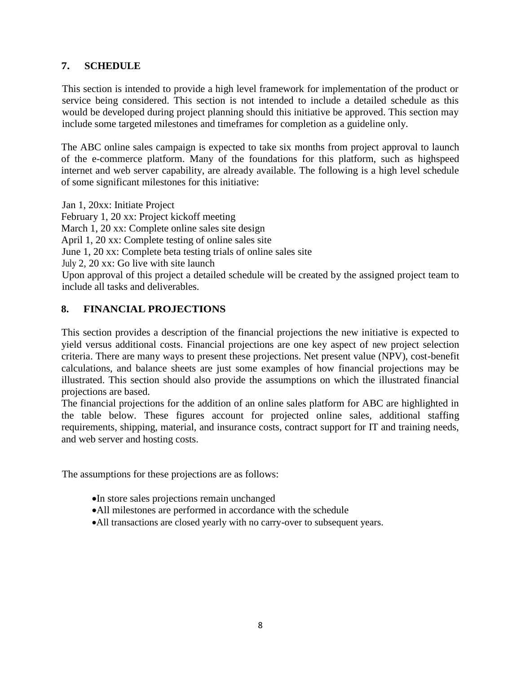# **7. SCHEDULE**

This section is intended to provide a high level framework for implementation of the product or service being considered. This section is not intended to include a detailed schedule as this would be developed during project planning should this initiative be approved. This section may include some targeted milestones and timeframes for completion as a guideline only.

The ABC online sales campaign is expected to take six months from project approval to launch of the e-commerce platform. Many of the foundations for this platform, such as highspeed internet and web server capability, are already available. The following is a high level schedule of some significant milestones for this initiative:

Jan 1, 20xx: Initiate Project February 1, 20 xx: Project kickoff meeting March 1, 20 xx: Complete online sales site design April 1, 20 xx: Complete testing of online sales site June 1, 20 xx: Complete beta testing trials of online sales site July 2, 20 xx: Go live with site launch Upon approval of this project a detailed schedule will be created by the assigned project team to include all tasks and deliverables.

# **8. FINANCIAL PROJECTIONS**

This section provides a description of the financial projections the new initiative is expected to yield versus additional costs. Financial projections are one key aspect of new project selection criteria. There are many ways to present these projections. Net present value (NPV), cost-benefit calculations, and balance sheets are just some examples of how financial projections may be illustrated. This section should also provide the assumptions on which the illustrated financial projections are based.

The financial projections for the addition of an online sales platform for ABC are highlighted in the table below. These figures account for projected online sales, additional staffing requirements, shipping, material, and insurance costs, contract support for IT and training needs, and web server and hosting costs.

The assumptions for these projections are as follows:

- In store sales projections remain unchanged
- All milestones are performed in accordance with the schedule
- All transactions are closed yearly with no carry-over to subsequent years.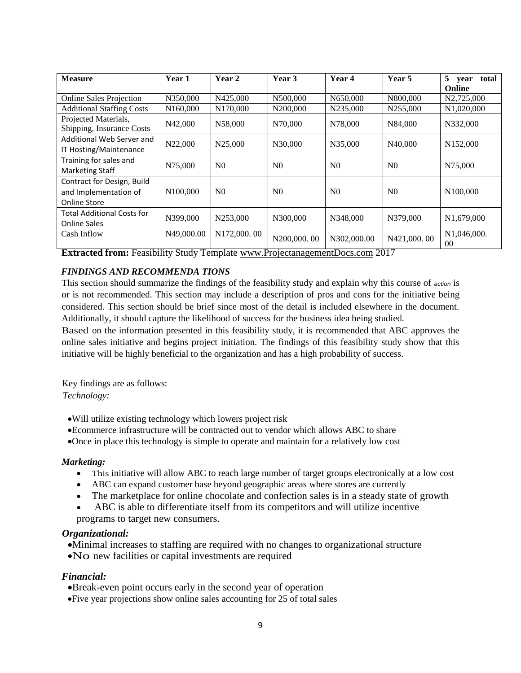| <b>Measure</b>                                                             | Year 1               | Year 2               | Year 3         | Year 4         | Year 5         | 5 <sup>5</sup><br>total<br>vear<br>Online |
|----------------------------------------------------------------------------|----------------------|----------------------|----------------|----------------|----------------|-------------------------------------------|
| <b>Online Sales Projection</b>                                             | N350,000             | N425,000             | N500,000       | N650,000       | N800,000       | N2,725,000                                |
| <b>Additional Staffing Costs</b>                                           | N <sub>160,000</sub> | N <sub>170,000</sub> | N200,000       | N235,000       | N255,000       | N1,020,000                                |
| Projected Materials,<br>Shipping, Insurance Costs                          | N42,000              | N58,000              | N70,000        | N78,000        | N84,000        | N332,000                                  |
| Additional Web Server and<br>IT Hosting/Maintenance                        | N22,000              | N25,000              | N30,000        | N35,000        | N40,000        | N <sub>152</sub> ,000                     |
| Training for sales and<br><b>Marketing Staff</b>                           | N75,000              | N <sub>0</sub>       | N <sub>0</sub> | N <sub>0</sub> | N <sub>0</sub> | N75,000                                   |
| Contract for Design, Build<br>and Implementation of<br><b>Online Store</b> | N <sub>100.000</sub> | N <sub>0</sub>       | N <sub>0</sub> | N <sub>0</sub> | N <sub>0</sub> | N100,000                                  |
| <b>Total Additional Costs for</b><br><b>Online Sales</b>                   | N399,000             | N253,000             | N300,000       | N348,000       | N379,000       | N <sub>1</sub> ,679,000                   |
| Cash Inflow                                                                | N49,000.00           | N172,000.00          | N200,000.00    | N302,000.00    | N421,000.00    | N1,046,000.<br>00                         |

**Extracted from:** Feasibility Study Template www.ProjectanagementDocs.com 2017

#### *FINDINGS AND RECOMMENDA TIONS*

This section should summarize the findings of the feasibility study and explain why this course of *action* is or is not recommended. This section may include a description of pros and cons for the initiative being considered. This section should be brief since most of the detail is included elsewhere in the document. Additionally, it should capture the likelihood of success for the business idea being studied.

Based on the information presented in this feasibility study, it is recommended that ABC approves the online sales initiative and begins project initiation. The findings of this feasibility study show that this initiative will be highly beneficial to the organization and has a high probability of success.

Key findings are as follows: *Technology:* 

- Will utilize existing technology which lowers project risk
- Ecommerce infrastructure will be contracted out to vendor which allows ABC to share
- Once in place this technology is simple to operate and maintain for a relatively low cost

#### *Marketing:*

- This initiative will allow ABC to reach large number of target groups electronically at a low cost
- ABC can expand customer base beyond geographic areas where stores are currently
- The marketplace for online chocolate and confection sales is in a steady state of growth
- ABC is able to differentiate itself from its competitors and will utilize incentive programs to target new consumers.

#### *Organizational:*

- Minimal increases to staffing are required with no changes to organizational structure
- No new facilities or capital investments are required

#### *Financial:*

Break-even point occurs early in the second year of operation

Five year projections show online sales accounting for 25 of total sales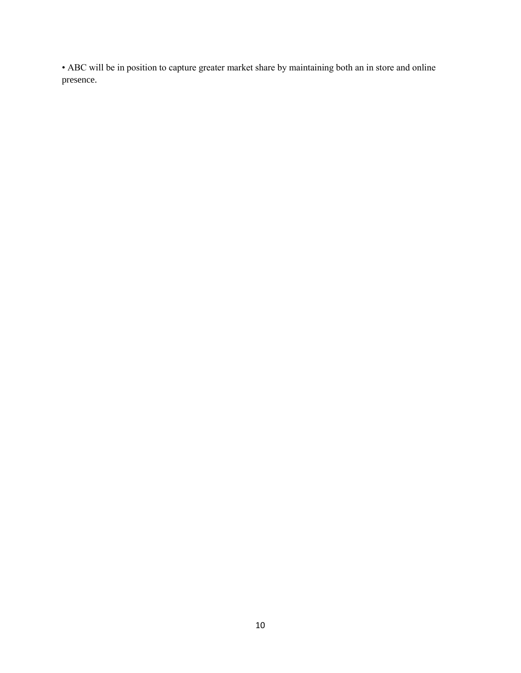• ABC will be in position to capture greater market share by maintaining both an in store and online presence.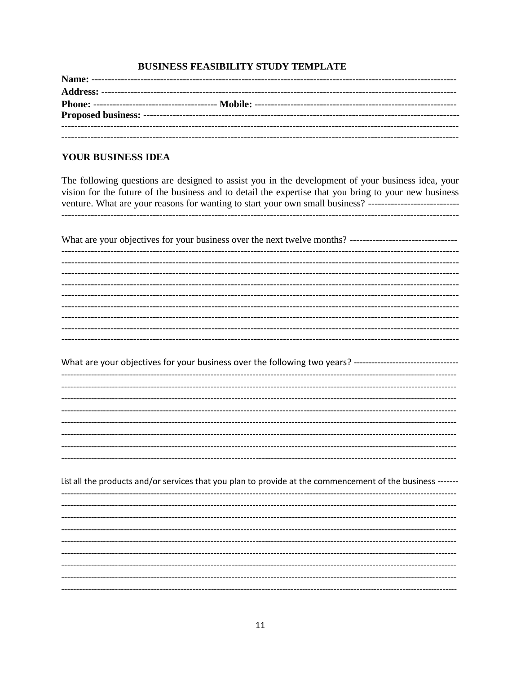#### **BUSINESS FEASIBILITY STUDY TEMPLATE**

#### YOUR BUSINESS IDEA

The following questions are designed to assist you in the development of your business idea, your vision for the future of the business and to detail the expertise that you bring to your new business venture. What are your reasons for wanting to start your own small business? -----------------------------

| What are your objectives for your business over the next twelve months? --------------------------------     |
|--------------------------------------------------------------------------------------------------------------|
| -------------------------------------<br>---------------------------------<br>---------------------------    |
|                                                                                                              |
|                                                                                                              |
|                                                                                                              |
|                                                                                                              |
|                                                                                                              |
|                                                                                                              |
|                                                                                                              |
| What are your objectives for your business over the following two years? ----------------------------------- |
|                                                                                                              |
|                                                                                                              |
|                                                                                                              |
|                                                                                                              |
|                                                                                                              |
|                                                                                                              |
|                                                                                                              |
|                                                                                                              |
|                                                                                                              |
| List all the products and/or services that you plan to provide at the commencement of the business -------   |
|                                                                                                              |
|                                                                                                              |
|                                                                                                              |
|                                                                                                              |
|                                                                                                              |
|                                                                                                              |
|                                                                                                              |
|                                                                                                              |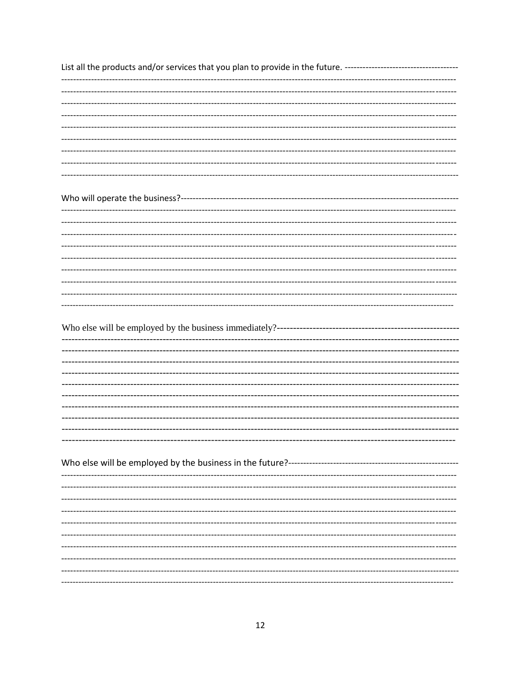| List all the products and/or services that you plan to provide in the future. --------------------------------- |
|-----------------------------------------------------------------------------------------------------------------|
| -------------------------------------                                                                           |
|                                                                                                                 |
|                                                                                                                 |
|                                                                                                                 |
|                                                                                                                 |
|                                                                                                                 |
|                                                                                                                 |
|                                                                                                                 |
|                                                                                                                 |
|                                                                                                                 |
|                                                                                                                 |
|                                                                                                                 |
|                                                                                                                 |
|                                                                                                                 |
|                                                                                                                 |
|                                                                                                                 |
|                                                                                                                 |
| -------------------------                                                                                       |
|                                                                                                                 |
|                                                                                                                 |
|                                                                                                                 |
|                                                                                                                 |
|                                                                                                                 |
|                                                                                                                 |
|                                                                                                                 |
|                                                                                                                 |
|                                                                                                                 |
|                                                                                                                 |
|                                                                                                                 |
|                                                                                                                 |
|                                                                                                                 |
|                                                                                                                 |
|                                                                                                                 |
|                                                                                                                 |
|                                                                                                                 |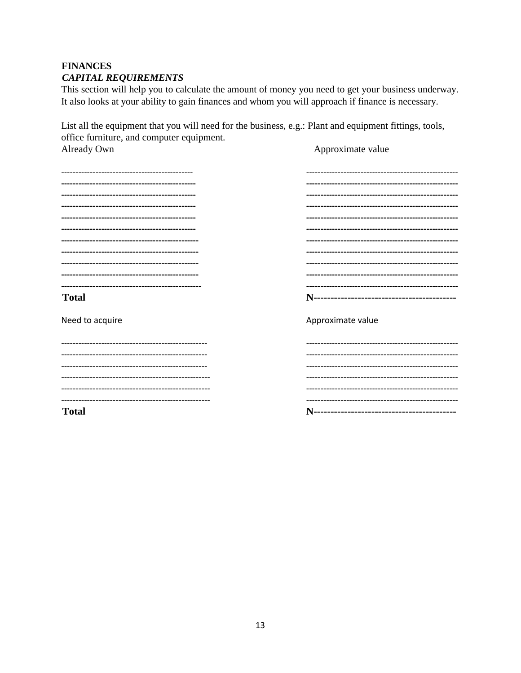# **FINANCES CAPITAL REQUIREMENTS**

This section will help you to calculate the amount of money you need to get your business underway. It also looks at your ability to gain finances and whom you will approach if finance is necessary.

List all the equipment that you will need for the business, e.g.: Plant and equipment fittings, tools, office furniture, and computer equipment. Already Own Approximate value

| <b>Total</b>      |                   |
|-------------------|-------------------|
| Need to acquire   | Approximate value |
| ----------------- |                   |
|                   |                   |
|                   |                   |
|                   |                   |
|                   |                   |
|                   |                   |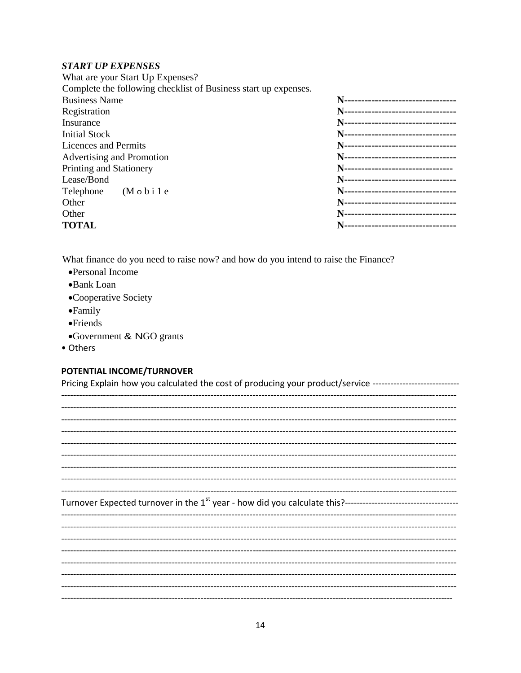#### **START UP EXPENSES**

| What are your Start Up Expenses?                                |                                      |
|-----------------------------------------------------------------|--------------------------------------|
| Complete the following checklist of Business start up expenses. |                                      |
| <b>Business Name</b>                                            | N---------------------------------   |
| Registration                                                    | N---------------------------------   |
| Insurance                                                       | N---------------------------------   |
| <b>Initial Stock</b>                                            | N----------------------------------  |
| Licences and Permits                                            | N---------------------------------   |
| Advertising and Promotion                                       | N---------------------------------   |
| Printing and Stationery                                         | N---------------------------------   |
| Lease/Bond                                                      | N---------------------------------   |
| Telephone (M o b i 1 e                                          | N---------------------------------   |
| Other                                                           | N---------------------------------   |
| Other                                                           | N---------------------------------   |
| <b>TOTAL</b>                                                    | -------------------------------<br>N |

What finance do you need to raise now? and how do you intend to raise the Finance?

- •Personal Income
- •Bank Loan
- •Cooperative Society
- $\bullet$ Family
- $\bullet$ Friends
- •Government & NGO grants
- Others

# POTENTIAL INCOME/TURNOVER

| Pricing Explain how you calculated the cost of producing your product/service ------------------------------ |
|--------------------------------------------------------------------------------------------------------------|
|                                                                                                              |
|                                                                                                              |
|                                                                                                              |
|                                                                                                              |
|                                                                                                              |
|                                                                                                              |
|                                                                                                              |
|                                                                                                              |
|                                                                                                              |
|                                                                                                              |
|                                                                                                              |
|                                                                                                              |
|                                                                                                              |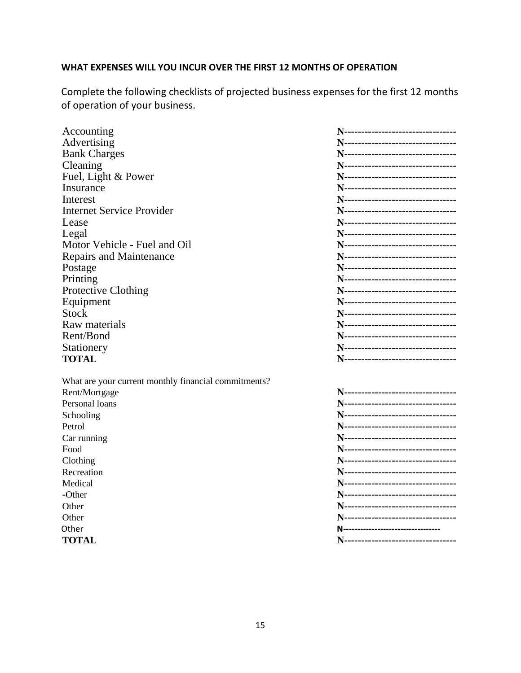# **WHAT EXPENSES WILL YOU INCUR OVER THE FIRST 12 MONTHS OF OPERATION**

Complete the following checklists of projected business expenses for the first 12 months of operation of your business.

| Accounting                                           | N---------------------------------- |
|------------------------------------------------------|-------------------------------------|
| Advertising                                          | N---------------------------------- |
| <b>Bank Charges</b>                                  | N---------------------------------- |
| Cleaning                                             | N---------------------------------  |
| Fuel, Light & Power                                  | N---------------------------------- |
| Insurance                                            | N---------------------------------- |
| Interest                                             | N---------------------------------  |
| <b>Internet Service Provider</b>                     | N---------------------------------- |
| Lease                                                | N---------------------------------- |
| Legal                                                | N---------------------------------  |
| Motor Vehicle - Fuel and Oil                         | N---------------------------------- |
| <b>Repairs and Maintenance</b>                       | N---------------------------------- |
| Postage                                              | N---------------------------------  |
| Printing                                             | N---------------------------------- |
| <b>Protective Clothing</b>                           | N---------------------------------- |
| Equipment                                            | N---------------------------------- |
| <b>Stock</b>                                         | N---------------------------------- |
| Raw materials                                        | N---------------------------------- |
| Rent/Bond                                            | N---------------------------------- |
| Stationery                                           | N---------------------------------- |
| <b>TOTAL</b>                                         | N---------------------------------- |
|                                                      |                                     |
| What are your current monthly financial commitments? |                                     |
| Rent/Mortgage                                        | N---------------------------------- |
| Personal loans                                       | N---------------------------------- |
| Schooling                                            | N---------------------------------- |
| Petrol                                               | N---------------------------------- |
| Car running                                          | N---------------------------------- |
| Food                                                 | N---------------------------------- |
| Clothing                                             | N---------------------------------- |
| Recreation                                           | N---------------------------------- |
| Medical                                              | N---------------------------------  |
| -Other                                               | N---------------------------------- |
| Other                                                | N---------------------------------- |
| Other                                                | N---------------------------------- |
| Other                                                | N---------------------------------- |
| <b>TOTAL</b>                                         | N---------------------------------- |
|                                                      |                                     |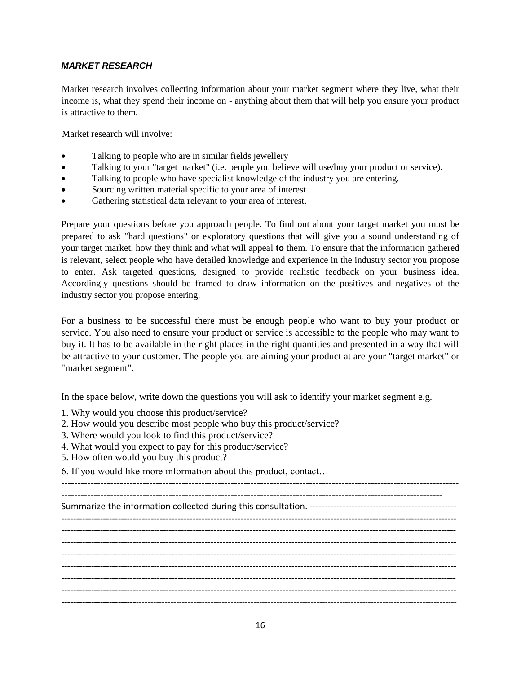#### *MARKET RESEARCH*

Market research involves collecting information about your market segment where they live, what their income is, what they spend their income on - anything about them that will help you ensure your product is attractive to them.

Market research will involve:

- Talking to people who are in similar fields jewellery
- Talking to your "target market" (i.e. people you believe will use/buy your product or service).
- Talking to people who have specialist knowledge of the industry you are entering.
- Sourcing written material specific to your area of interest.
- Gathering statistical data relevant to your area of interest.

Prepare your questions before you approach people. To find out about your target market you must be prepared to ask "hard questions" or exploratory questions that will give you a sound understanding of your target market, how they think and what will appeal **to** them. To ensure that the information gathered is relevant, select people who have detailed knowledge and experience in the industry sector you propose to enter. Ask targeted questions, designed to provide realistic feedback on your business idea. Accordingly questions should be framed to draw information on the positives and negatives of the industry sector you propose entering.

For a business to be successful there must be enough people who want to buy your product or service. You also need to ensure your product or service is accessible to the people who may want to buy it. It has to be available in the right places in the right quantities and presented in a way that will be attractive to your customer. The people you are aiming your product at are your "target market" or "market segment".

In the space below, write down the questions you will ask to identify your market segment e.g.

- 1. Why would you choose this product/service?
- 2. How would you describe most people who buy this product/service?
- 3. Where would you look to find this product/service?
- 4. What would you expect to pay for this product/service?
- 5. How often would you buy this product?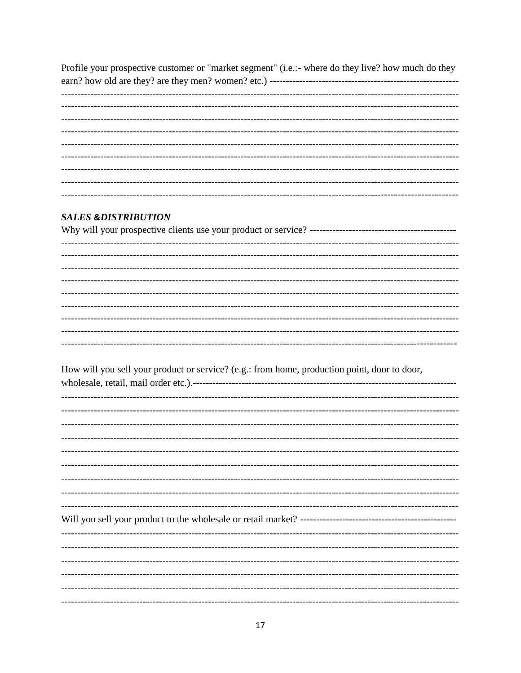Profile your prospective customer or "market segment" (i.e.:- where do they live? how much do they 

L. 

#### **SALES &DISTRIBUTION**

How will you sell your product or service? (e.g.: from home, production point, door to door,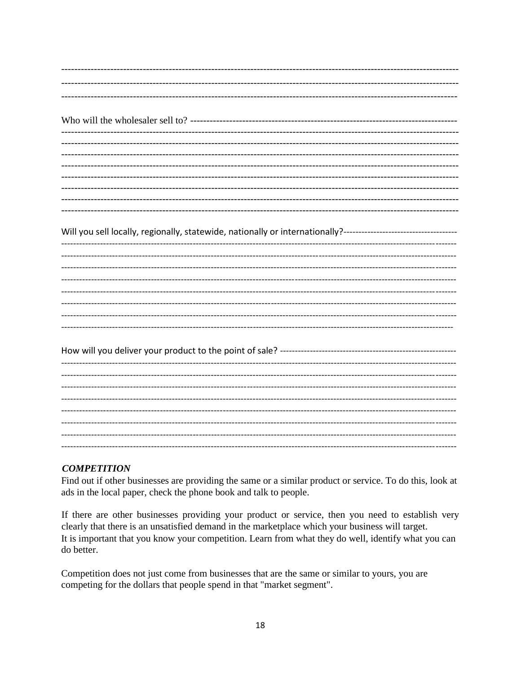| ______________________________                                                                                 |
|----------------------------------------------------------------------------------------------------------------|
|                                                                                                                |
| -------------------------------------                                                                          |
| Will you sell locally, regionally, statewide, nationally or internationally?---------------------------------- |
|                                                                                                                |
|                                                                                                                |
|                                                                                                                |
|                                                                                                                |
|                                                                                                                |
|                                                                                                                |
|                                                                                                                |
|                                                                                                                |
| -----------------------------------                                                                            |
|                                                                                                                |
|                                                                                                                |
|                                                                                                                |

#### **COMPETITION**

Find out if other businesses are providing the same or a similar product or service. To do this, look at ads in the local paper, check the phone book and talk to people.

If there are other businesses providing your product or service, then you need to establish very clearly that there is an unsatisfied demand in the marketplace which your business will target. It is important that you know your competition. Learn from what they do well, identify what you can do better.

Competition does not just come from businesses that are the same or similar to yours, you are competing for the dollars that people spend in that "market segment".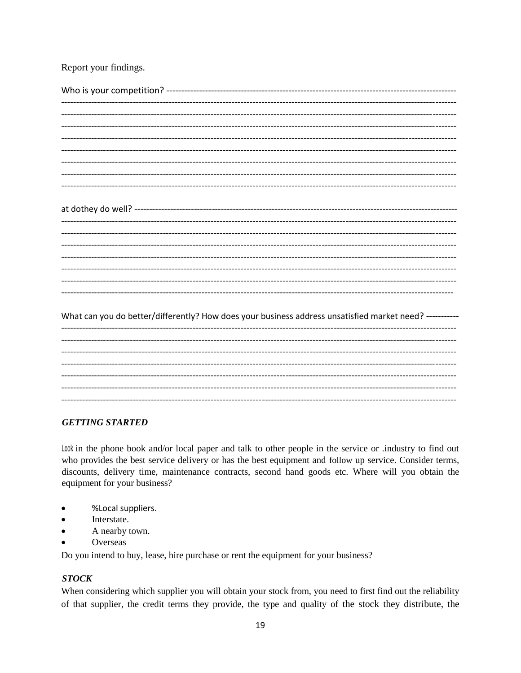#### Report your findings.

# 

What can you do better/differently? How does your business address unsatisfied market need? -----------

#### **GETTING STARTED**

Look in the phone book and/or local paper and talk to other people in the service or .industry to find out who provides the best service delivery or has the best equipment and follow up service. Consider terms, discounts, delivery time, maintenance contracts, second hand goods etc. Where will you obtain the equipment for your business?

- %Local suppliers.  $\bullet$
- Interstate.
- A nearby town.
- Overseas

Do you intend to buy, lease, hire purchase or rent the equipment for your business?

#### **STOCK**

When considering which supplier you will obtain your stock from, you need to first find out the reliability of that supplier, the credit terms they provide, the type and quality of the stock they distribute, the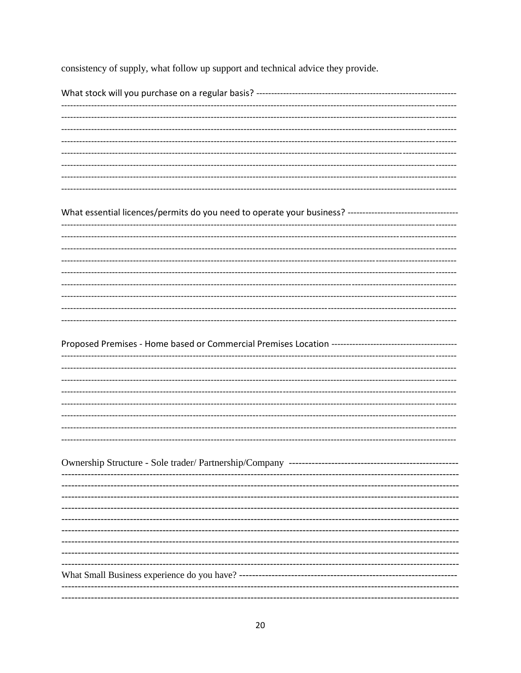consistency of supply, what follow up support and technical advice they provide.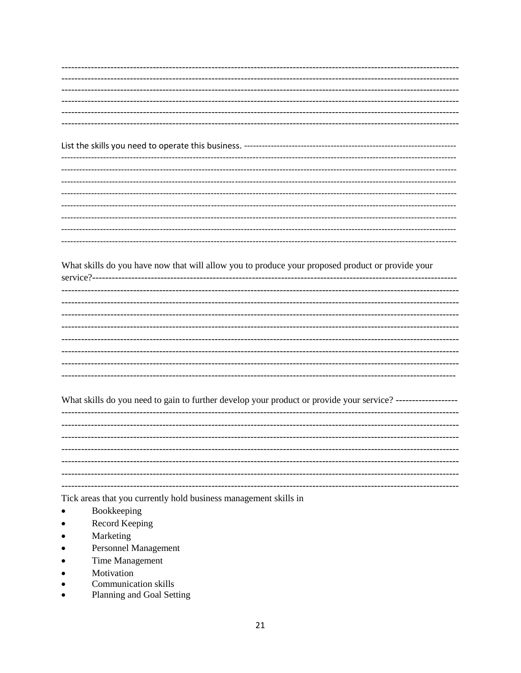What skills do you have now that will allow you to produce your proposed product or provide your

What skills do you need to gain to further develop your product or provide your service? ------------------

Tick areas that you currently hold business management skills in

- Bookkeeping
- Record Keeping
- Marketing
- **Personnel Management**
- **Time Management**
- Motivation
- Communication skills
- Planning and Goal Setting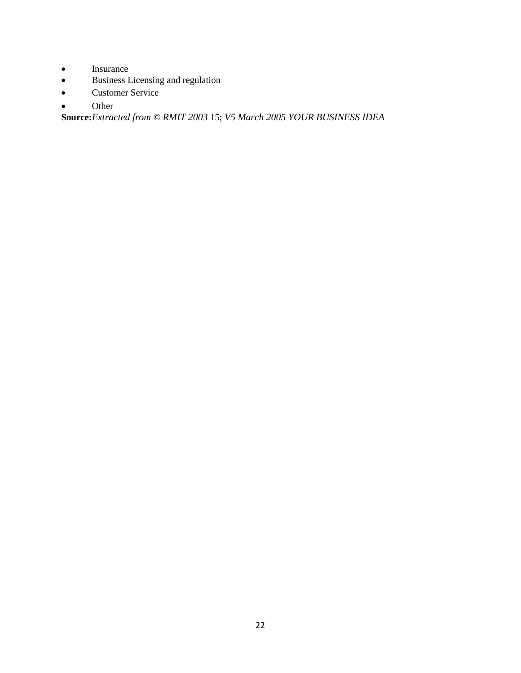- Insurance
- Business Licensing and regulation
- Customer Service
- Other

**Source:***Extracted from* © *RMIT 2003* 15; *V5 March 2005 YOUR BUSINESS IDEA*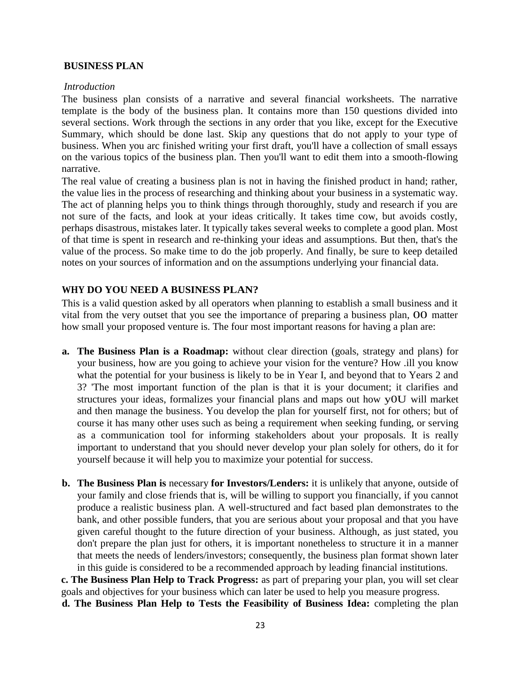#### **BUSINESS PLAN**

#### *Introduction*

The business plan consists of a narrative and several financial worksheets. The narrative template is the body of the business plan. It contains more than 150 questions divided into several sections. Work through the sections in any order that you like, except for the Executive Summary, which should be done last. Skip any questions that do not apply to your type of business. When you arc finished writing your first draft, you'll have a collection of small essays on the various topics of the business plan. Then you'll want to edit them into a smooth-flowing narrative.

The real value of creating a business plan is not in having the finished product in hand; rather, the value lies in the process of researching and thinking about your business in a systematic way. The act of planning helps you to think things through thoroughly, study and research if you are not sure of the facts, and look at your ideas critically. It takes time cow, but avoids costly, perhaps disastrous, mistakes later. It typically takes several weeks to complete a good plan. Most of that time is spent in research and re-thinking your ideas and assumptions. But then, that's the value of the process. So make time to do the job properly. And finally, be sure to keep detailed notes on your sources of information and on the assumptions underlying your financial data.

#### **WHY DO YOU NEED A BUSINESS PLAN?**

This is a valid question asked by all operators when planning to establish a small business and it vital from the very outset that you see the importance of preparing a business plan, 00 matter how small your proposed venture is. The four most important reasons for having a plan are:

- **a. The Business Plan is a Roadmap:** without clear direction (goals, strategy and plans) for your business, how are you going to achieve your vision for the venture? How .ill you know what the potential for your business is likely to be in Year I, and beyond that to Years 2 and 3? 'The most important function of the plan is that it is your document; it clarifies and structures your ideas, formalizes your financial plans and maps out how y0U will market and then manage the business. You develop the plan for yourself first, not for others; but of course it has many other uses such as being a requirement when seeking funding, or serving as a communication tool for informing stakeholders about your proposals. It is really important to understand that you should never develop your plan solely for others, do it for yourself because it will help you to maximize your potential for success.
- **b. The Business Plan is** necessary **for Investors/Lenders:** it is unlikely that anyone, outside of your family and close friends that is, will be willing to support you financially, if you cannot produce a realistic business plan. A well-structured and fact based plan demonstrates to the bank, and other possible funders, that you are serious about your proposal and that you have given careful thought to the future direction of your business. Although, as just stated, you don't prepare the plan just for others, it is important nonetheless to structure it in a manner that meets the needs of lenders/investors; consequently, the business plan format shown later in this guide is considered to be a recommended approach by leading financial institutions.

**c. The Business Plan Help to Track Progress:** as part of preparing your plan, you will set clear goals and objectives for your business which can later be used to help you measure progress.

**d. The Business Plan Help to Tests the Feasibility of Business Idea:** completing the plan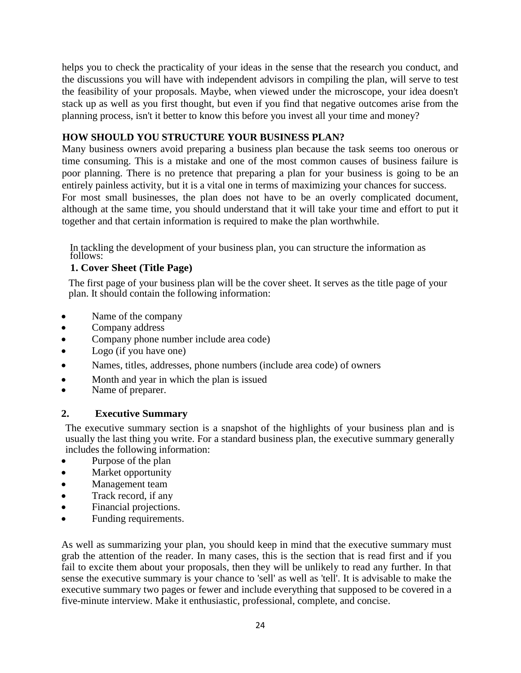helps you to check the practicality of your ideas in the sense that the research you conduct, and the discussions you will have with independent advisors in compiling the plan, will serve to test the feasibility of your proposals. Maybe, when viewed under the microscope, your idea doesn't stack up as well as you first thought, but even if you find that negative outcomes arise from the planning process, isn't it better to know this before you invest all your time and money?

#### **HOW SHOULD YOU STRUCTURE YOUR BUSINESS PLAN?**

Many business owners avoid preparing a business plan because the task seems too onerous or time consuming. This is a mistake and one of the most common causes of business failure is poor planning. There is no pretence that preparing a plan for your business is going to be an entirely painless activity, but it is a vital one in terms of maximizing your chances for success. For most small businesses, the plan does not have to be an overly complicated document, although at the same time, you should understand that it will take your time and effort to put it together and that certain information is required to make the plan worthwhile.

In tackling the development of your business plan, you can structure the information as follows:

#### **1. Cover Sheet (Title Page)**

The first page of your business plan will be the cover sheet. It serves as the title page of your plan. It should contain the following information:

- Name of the company
- Company address
- Company phone number include area code)
- Logo (if you have one)
- Names, titles, addresses, phone numbers (include area code) of owners
- Month and year in which the plan is issued
- Name of preparer.

#### **2. Executive Summary**

The executive summary section is a snapshot of the highlights of your business plan and is usually the last thing you write. For a standard business plan, the executive summary generally includes the following information:

- Purpose of the plan
- Market opportunity
- Management team
- Track record, if any
- Financial projections.
- Funding requirements.

As well as summarizing your plan, you should keep in mind that the executive summary must grab the attention of the reader. In many cases, this is the section that is read first and if you fail to excite them about your proposals, then they will be unlikely to read any further. In that sense the executive summary is your chance to 'sell' as well as 'tell'. It is advisable to make the executive summary two pages or fewer and include everything that supposed to be covered in a five-minute interview. Make it enthusiastic, professional, complete, and concise.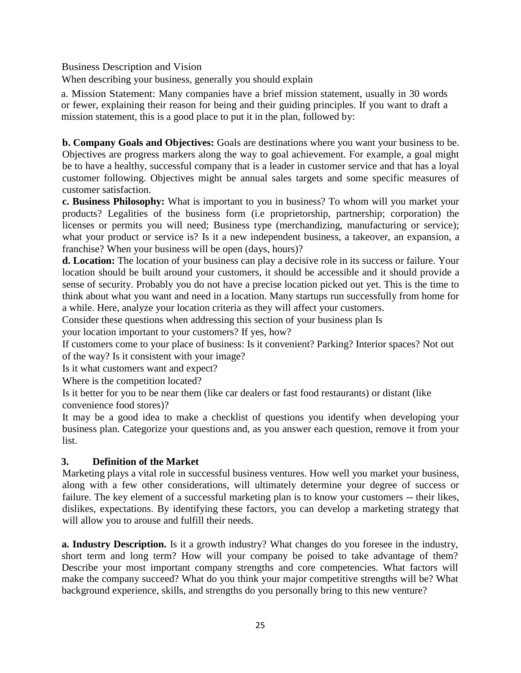Business Description and Vision

When describing your business, generally you should explain

a. Mission Statement: Many companies have a brief mission statement, usually in 30 words or fewer, explaining their reason for being and their guiding principles. If you want to draft a mission statement, this is a good place to put it in the plan, followed by:

**b. Company Goals and Objectives:** Goals are destinations where you want your business to be. Objectives are progress markers along the way to goal achievement. For example, a goal might be to have a healthy, successful company that is a leader in customer service and that has a loyal customer following. Objectives might be annual sales targets and some specific measures of customer satisfaction.

**c. Business Philosophy:** What is important to you in business? To whom will you market your products? Legalities of the business form (i.e proprietorship, partnership; corporation) the licenses or permits you will need; Business type (merchandizing, manufacturing or service); what your product or service is? Is it a new independent business, a takeover, an expansion, a franchise? When your business will be open (days, hours)?

**d. Location:** The location of your business can play a decisive role in its success or failure. Your location should be built around your customers, it should be accessible and it should provide a sense of security. Probably you do not have a precise location picked out yet. This is the time to think about what you want and need in a location. Many startups run successfully from home for a while. Here, analyze your location criteria as they will affect your customers.

Consider these questions when addressing this section of your business plan Is

your location important to your customers? If yes, how?

If customers come to your place of business: Is it convenient? Parking? Interior spaces? Not out of the way? Is it consistent with your image?

Is it what customers want and expect?

Where is the competition located?

Is it better for you to be near them (like car dealers or fast food restaurants) or distant (like convenience food stores)?

It may be a good idea to make a checklist of questions you identify when developing your business plan. Categorize your questions and, as you answer each question, remove it from your list.

### **3. Definition of the Market**

Marketing plays a vital role in successful business ventures. How well you market your business, along with a few other considerations, will ultimately determine your degree of success or failure. The key element of a successful marketing plan is to know your customers -- their likes, dislikes, expectations. By identifying these factors, you can develop a marketing strategy that will allow you to arouse and fulfill their needs.

**a. Industry Description.** Is it a growth industry? What changes do you foresee in the industry, short term and long term? How will your company be poised to take advantage of them? Describe your most important company strengths and core competencies. What factors will make the company succeed? What do you think your major competitive strengths will be? What background experience, skills, and strengths do you personally bring to this new venture?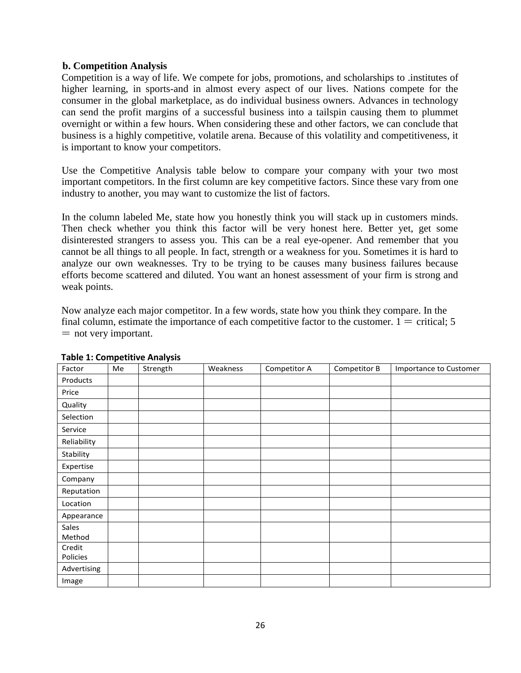#### **b. Competition Analysis**

Competition is a way of life. We compete for jobs, promotions, and scholarships to .institutes of higher learning, in sports-and in almost every aspect of our lives. Nations compete for the consumer in the global marketplace, as do individual business owners. Advances in technology can send the profit margins of a successful business into a tailspin causing them to plummet overnight or within a few hours. When considering these and other factors, we can conclude that business is a highly competitive, volatile arena. Because of this volatility and competitiveness, it is important to know your competitors.

Use the Competitive Analysis table below to compare your company with your two most important competitors. In the first column are key competitive factors. Since these vary from one industry to another, you may want to customize the list of factors.

In the column labeled Me, state how you honestly think you will stack up in customers minds. Then check whether you think this factor will be very honest here. Better yet, get some disinterested strangers to assess you. This can be a real eye-opener. And remember that you cannot be all things to all people. In fact, strength or a weakness for you. Sometimes it is hard to analyze our own weaknesses. Try to be trying to be causes many business failures because efforts become scattered and diluted. You want an honest assessment of your firm is strong and weak points.

Now analyze each major competitor. In a few words, state how you think they compare. In the final column, estimate the importance of each competitive factor to the customer.  $1 =$  critical; 5  $=$  not very important.

| Factor             | Me | Strength | Weakness | Competitor A | Competitor B | Importance to Customer |
|--------------------|----|----------|----------|--------------|--------------|------------------------|
| Products           |    |          |          |              |              |                        |
| Price              |    |          |          |              |              |                        |
| Quality            |    |          |          |              |              |                        |
| Selection          |    |          |          |              |              |                        |
| Service            |    |          |          |              |              |                        |
| Reliability        |    |          |          |              |              |                        |
| Stability          |    |          |          |              |              |                        |
| Expertise          |    |          |          |              |              |                        |
| Company            |    |          |          |              |              |                        |
| Reputation         |    |          |          |              |              |                        |
| Location           |    |          |          |              |              |                        |
| Appearance         |    |          |          |              |              |                        |
| Sales<br>Method    |    |          |          |              |              |                        |
| Credit<br>Policies |    |          |          |              |              |                        |
| Advertising        |    |          |          |              |              |                        |
| Image              |    |          |          |              |              |                        |

#### **Table 1: Competitive Analysis**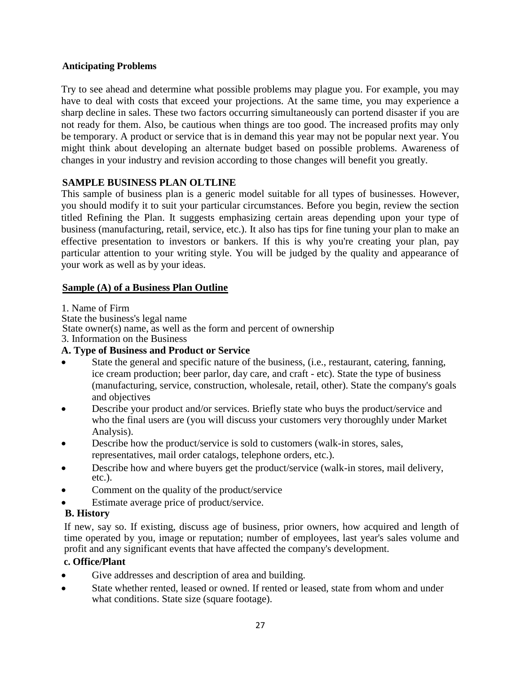#### **Anticipating Problems**

Try to see ahead and determine what possible problems may plague you. For example, you may have to deal with costs that exceed your projections. At the same time, you may experience a sharp decline in sales. These two factors occurring simultaneously can portend disaster if you are not ready for them. Also, be cautious when things are too good. The increased profits may only be temporary. A product or service that is in demand this year may not be popular next year. You might think about developing an alternate budget based on possible problems. Awareness of changes in your industry and revision according to those changes will benefit you greatly.

### **SAMPLE BUSINESS PLAN OLTLINE**

This sample of business plan is a generic model suitable for all types of businesses. However, you should modify it to suit your particular circumstances. Before you begin, review the section titled Refining the Plan. It suggests emphasizing certain areas depending upon your type of business (manufacturing, retail, service, etc.). It also has tips for fine tuning your plan to make an effective presentation to investors or bankers. If this is why you're creating your plan, pay particular attention to your writing style. You will be judged by the quality and appearance of your work as well as by your ideas.

### **Sample (A) of a Business Plan Outline**

1. Name of Firm

State the business's legal name

State owner(s) name, as well as the form and percent of ownership

3. Information on the Business

### **A. Type of Business and Product or Service**

- State the general and specific nature of the business, (i.e., restaurant, catering, fanning, ice cream production; beer parlor, day care, and craft - etc). State the type of business (manufacturing, service, construction, wholesale, retail, other). State the company's goals and objectives
- Describe your product and/or services. Briefly state who buys the product/service and who the final users are (you will discuss your customers very thoroughly under Market Analysis).
- Describe how the product/service is sold to customers (walk-in stores, sales, representatives, mail order catalogs, telephone orders, etc.).
- Describe how and where buyers get the product/service (walk-in stores, mail delivery, etc.).
- Comment on the quality of the product/service
- Estimate average price of product/service.

# **B. History**

If new, say so. If existing, discuss age of business, prior owners, how acquired and length of time operated by you, image or reputation; number of employees, last year's sales volume and profit and any significant events that have affected the company's development.

### **c. Office/Plant**

- Give addresses and description of area and building.
- State whether rented, leased or owned. If rented or leased, state from whom and under what conditions. State size (square footage).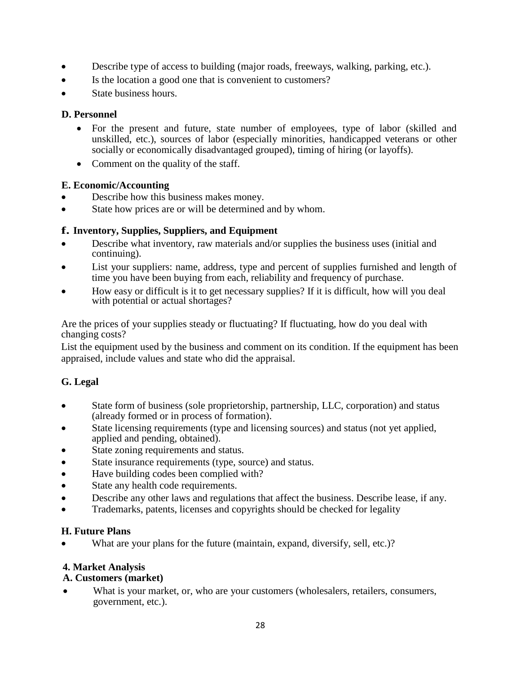- Describe type of access to building (major roads, freeways, walking, parking, etc.).
- Is the location a good one that is convenient to customers?
- State business hours.

# **D. Personnel**

- For the present and future, state number of employees, type of labor (skilled and unskilled, etc.), sources of labor (especially minorities, handicapped veterans or other socially or economically disadvantaged grouped), timing of hiring (or layoffs).
- Comment on the quality of the staff.

# **E. Economic/Accounting**

- Describe how this business makes money.
- State how prices are or will be determined and by whom.

# **f. Inventory, Supplies, Suppliers, and Equipment**

- Describe what inventory, raw materials and/or supplies the business uses (initial and continuing).
- List your suppliers: name, address, type and percent of supplies furnished and length of time you have been buying from each, reliability and frequency of purchase.
- How easy or difficult is it to get necessary supplies? If it is difficult, how will you deal with potential or actual shortages?

Are the prices of your supplies steady or fluctuating? If fluctuating, how do you deal with changing costs?

List the equipment used by the business and comment on its condition. If the equipment has been appraised, include values and state who did the appraisal.

# **G. Legal**

- State form of business (sole proprietorship, partnership, LLC, corporation) and status (already formed or in process of formation).
- State licensing requirements (type and licensing sources) and status (not yet applied, applied and pending, obtained).
- State zoning requirements and status.
- State insurance requirements (type, source) and status.
- Have building codes been complied with?
- State any health code requirements.
- Describe any other laws and regulations that affect the business. Describe lease, if any.
- Trademarks, patents, licenses and copyrights should be checked for legality

### **H. Future Plans**

What are your plans for the future (maintain, expand, diversify, sell, etc.)?

### **4. Market Analysis**

# **A. Customers (market)**

 What is your market, or, who are your customers (wholesalers, retailers, consumers, government, etc.).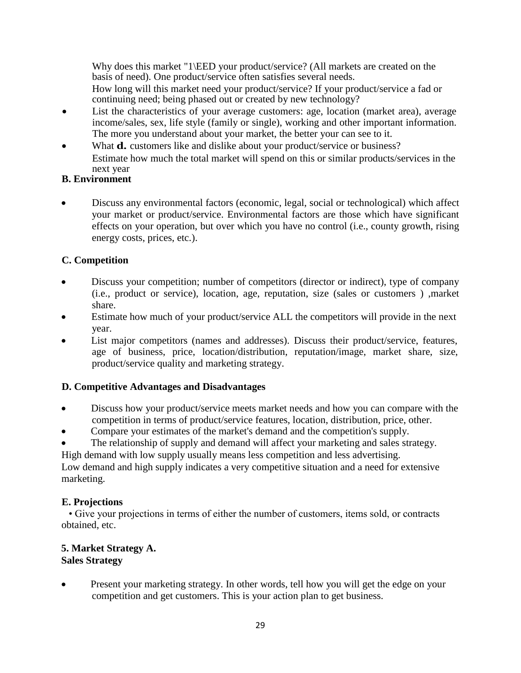Why does this market "1\EED your product/service? (All markets are created on the basis of need). One product/service often satisfies several needs.

How long will this market need your product/service? If your product/service a fad or continuing need; being phased out or created by new technology?

- List the characteristics of your average customers: age, location (market area), average income/sales, sex, life style (family or single), working and other important information. The more you understand about your market, the better your can see to it.
- What **d.** customers like and dislike about your product/service or business? Estimate how much the total market will spend on this or similar products/services in the next year

# **B. Environment**

 Discuss any environmental factors (economic, legal, social or technological) which affect your market or product/service. Environmental factors are those which have significant effects on your operation, but over which you have no control (i.e., county growth, rising energy costs, prices, etc.).

# **C. Competition**

- Discuss your competition; number of competitors (director or indirect), type of company (i.e., product or service), location, age, reputation, size (sales or customers ) ,market share.
- Estimate how much of your product/service ALL the competitors will provide in the next year.
- List major competitors (names and addresses). Discuss their product/service, features, age of business, price, location/distribution, reputation/image, market share, size, product/service quality and marketing strategy.

# **D. Competitive Advantages and Disadvantages**

- Discuss how your product/service meets market needs and how you can compare with the competition in terms of product/service features, location, distribution, price, other.
- Compare your estimates of the market's demand and the competition's supply.
- The relationship of supply and demand will affect your marketing and sales strategy.

High demand with low supply usually means less competition and less advertising.

Low demand and high supply indicates a very competitive situation and a need for extensive marketing.

# **E. Projections**

• Give your projections in terms of either the number of customers, items sold, or contracts obtained, etc.

#### **5. Market Strategy A. Sales Strategy**

 Present your marketing strategy. In other words, tell how you will get the edge on your competition and get customers. This is your action plan to get business.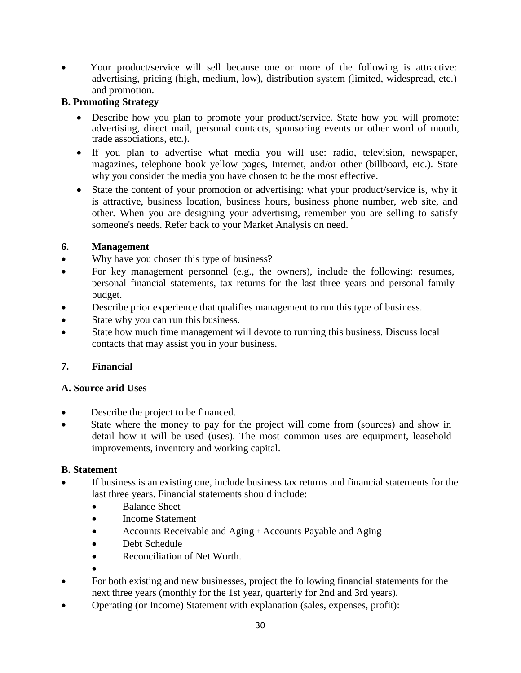Your product/service will sell because one or more of the following is attractive: advertising, pricing (high, medium, low), distribution system (limited, widespread, etc.) and promotion.

# **B. Promoting Strategy**

- Describe how you plan to promote your product/service. State how you will promote: advertising, direct mail, personal contacts, sponsoring events or other word of mouth, trade associations, etc.).
- If you plan to advertise what media you will use: radio, television, newspaper, magazines, telephone book yellow pages, Internet, and/or other (billboard, etc.). State why you consider the media you have chosen to be the most effective.
- State the content of your promotion or advertising: what your product/service is, why it is attractive, business location, business hours, business phone number, web site, and other. When you are designing your advertising, remember you are selling to satisfy someone's needs. Refer back to your Market Analysis on need.

# **6. Management**

- Why have you chosen this type of business?
- For key management personnel (e.g., the owners), include the following: resumes, personal financial statements, tax returns for the last three years and personal family budget.
- Describe prior experience that qualifies management to run this type of business.
- State why you can run this business.
- State how much time management will devote to running this business. Discuss local contacts that may assist you in your business.

# **7. Financial**

### **A. Source arid Uses**

- Describe the project to be financed.
- State where the money to pay for the project will come from (sources) and show in detail how it will be used (uses). The most common uses are equipment, leasehold improvements, inventory and working capital.

### **B. Statement**

- If business is an existing one, include business tax returns and financial statements for the last three years. Financial statements should include:
	- Balance Sheet
	- Income Statement
	- Accounts Receivable and Aging + Accounts Payable and Aging
	- Debt Schedule
	- Reconciliation of Net Worth.
	- $\bullet$
- For both existing and new businesses, project the following financial statements for the next three years (monthly for the 1st year, quarterly for 2nd and 3rd years).
- Operating (or Income) Statement with explanation (sales, expenses, profit):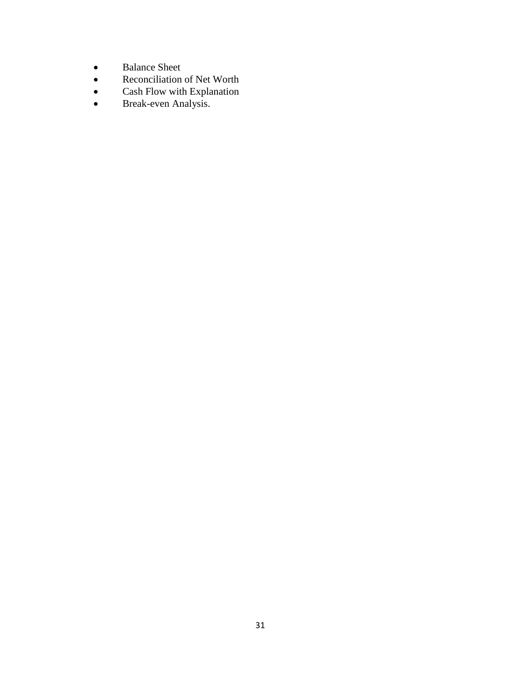- Balance Sheet<br>• Reconciliation
- Reconciliation of Net Worth<br>• Cash Flow with Explanation
- Cash Flow with Explanation
- Break-even Analysis.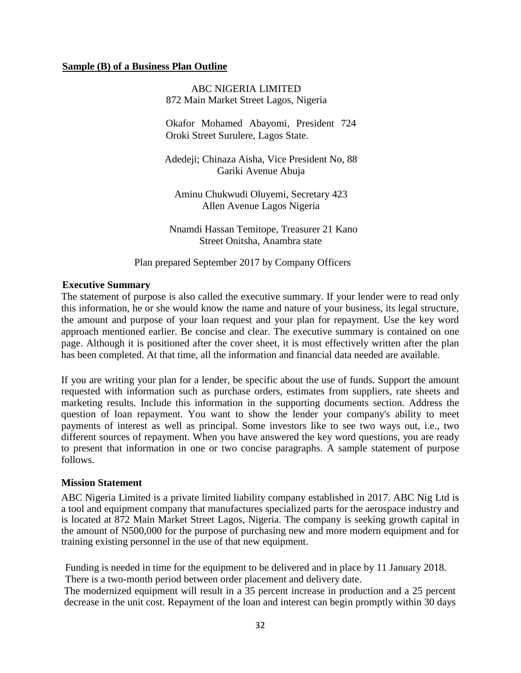#### **Sample (B) of a Business Plan Outline**

ABC NIGERIA LIMITED 872 Main Market Street Lagos, Nigeria

Okafor Mohamed Abayomi, President 724 Oroki Street Surulere, Lagos State.

Adedeji; Chinaza Aisha, Vice President No, 88 Gariki Avenue Abuja

Aminu Chukwudi Oluyemi, Secretary 423 Allen Avenue Lagos Nigeria

Nnamdi Hassan Temitope, Treasurer 21 Kano Street Onitsha, Anambra state

Plan prepared September 2017 by Company Officers

#### **Executive Summary**

The statement of purpose is also called the executive summary. If your lender were to read only this information, he or she would know the name and nature of your business, its legal structure, the amount and purpose of your loan request and your plan for repayment. Use the key word approach mentioned earlier. Be concise and clear. The executive summary is contained on one page. Although it is positioned after the cover sheet, it is most effectively written after the plan has been completed. At that time, all the information and financial data needed are available.

If you are writing your plan for a lender, be specific about the use of funds. Support the amount requested with information such as purchase orders, estimates from suppliers, rate sheets and marketing results. Include this information in the supporting documents section. Address the question of loan repayment. You want to show the lender your company's ability to meet payments of interest as well as principal. Some investors like to see two ways out, i.e., two different sources of repayment. When you have answered the key word questions, you are ready to present that information in one or two concise paragraphs. A sample statement of purpose follows.

#### **Mission Statement**

ABC Nigeria Limited is a private limited liability company established in 2017. ABC Nig Ltd is a tool and equipment company that manufactures specialized parts for the aerospace industry and is located at 872 Main Market Street Lagos, Nigeria. The company is seeking growth capital in the amount of N500,000 for the purpose of purchasing new and more modern equipment and for training existing personnel in the use of that new equipment.

Funding is needed in time for the equipment to be delivered and in place by 11 January 2018. There is a two-month period between order placement and delivery date.

The modernized equipment will result in a 35 percent increase in production and a 25 percent decrease in the unit cost. Repayment of the loan and interest can begin promptly within 30 days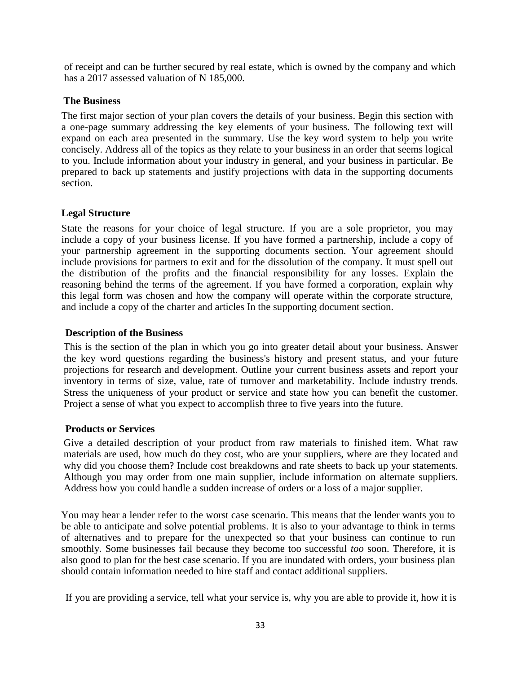of receipt and can be further secured by real estate, which is owned by the company and which has a 2017 assessed valuation of N 185,000.

#### **The Business**

The first major section of your plan covers the details of your business. Begin this section with a one-page summary addressing the key elements of your business. The following text will expand on each area presented in the summary. Use the key word system to help you write concisely. Address all of the topics as they relate to your business in an order that seems logical to you. Include information about your industry in general, and your business in particular. Be prepared to back up statements and justify projections with data in the supporting documents section.

#### **Legal Structure**

State the reasons for your choice of legal structure. If you are a sole proprietor, you may include a copy of your business license. If you have formed a partnership, include a copy of your partnership agreement in the supporting documents section. Your agreement should include provisions for partners to exit and for the dissolution of the company. It must spell out the distribution of the profits and the financial responsibility for any losses. Explain the reasoning behind the terms of the agreement. If you have formed a corporation, explain why this legal form was chosen and how the company will operate within the corporate structure, and include a copy of the charter and articles In the supporting document section.

#### **Description of the Business**

This is the section of the plan in which you go into greater detail about your business. Answer the key word questions regarding the business's history and present status, and your future projections for research and development. Outline your current business assets and report your inventory in terms of size, value, rate of turnover and marketability. Include industry trends. Stress the uniqueness of your product or service and state how you can benefit the customer. Project a sense of what you expect to accomplish three to five years into the future.

#### **Products or Services**

Give a detailed description of your product from raw materials to finished item. What raw materials are used, how much do they cost, who are your suppliers, where are they located and why did you choose them? Include cost breakdowns and rate sheets to back up your statements. Although you may order from one main supplier, include information on alternate suppliers. Address how you could handle a sudden increase of orders or a loss of a major supplier.

You may hear a lender refer to the worst case scenario. This means that the lender wants you to be able to anticipate and solve potential problems. It is also to your advantage to think in terms of alternatives and to prepare for the unexpected so that your business can continue to run smoothly. Some businesses fail because they become too successful *too* soon. Therefore, it is also good to plan for the best case scenario. If you are inundated with orders, your business plan should contain information needed to hire staff and contact additional suppliers.

If you are providing a service, tell what your service is, why you are able to provide it, how it is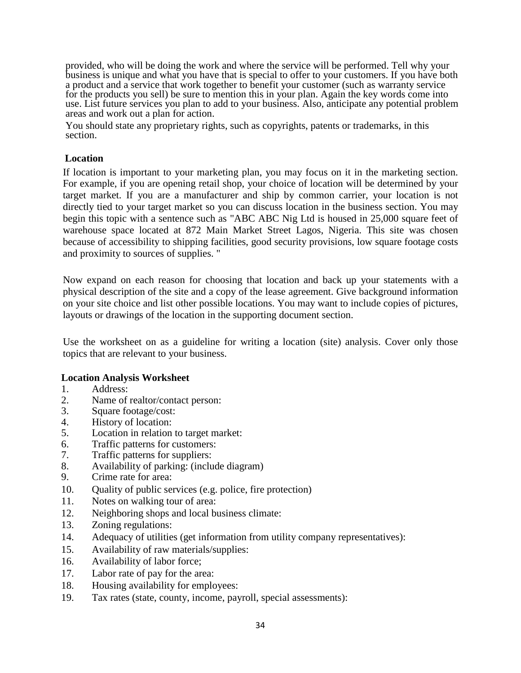provided, who will be doing the work and where the service will be performed. Tell why your business is unique and what you have that is special to offer to your customers. If you have both a product and a service that work together to benefit your customer (such as warranty service for the products you sell) be sure to mention this in your plan. Again the key words come into use. List future services you plan to add to your business. Also, anticipate any potential problem areas and work out a plan for action.

You should state any proprietary rights, such as copyrights, patents or trademarks, in this section.

#### **Location**

If location is important to your marketing plan, you may focus on it in the marketing section. For example, if you are opening retail shop, your choice of location will be determined by your target market. If you are a manufacturer and ship by common carrier, your location is not directly tied to your target market so you can discuss location in the business section. You may begin this topic with a sentence such as "ABC ABC Nig Ltd is housed in 25,000 square feet of warehouse space located at 872 Main Market Street Lagos, Nigeria. This site was chosen because of accessibility to shipping facilities, good security provisions, low square footage costs and proximity to sources of supplies. "

Now expand on each reason for choosing that location and back up your statements with a physical description of the site and a copy of the lease agreement. Give background information on your site choice and list other possible locations. You may want to include copies of pictures, layouts or drawings of the location in the supporting document section.

Use the worksheet on as a guideline for writing a location (site) analysis. Cover only those topics that are relevant to your business.

#### **Location Analysis Worksheet**

- 1. Address:
- 2. Name of realtor/contact person:
- 3. Square footage/cost:
- 4. History of location:
- 5. Location in relation to target market:
- 6. Traffic patterns for customers:
- 7. Traffic patterns for suppliers:
- 8. Availability of parking: (include diagram)
- 9. Crime rate for area:
- 10. Quality of public services (e.g. police, fire protection)
- 11. Notes on walking tour of area:
- 12. Neighboring shops and local business climate:
- 13. Zoning regulations:
- 14. Adequacy of utilities (get information from utility company representatives):
- 15. Availability of raw materials/supplies:
- 16. Availability of labor force;
- 17. Labor rate of pay for the area:
- 18. Housing availability for employees:
- 19. Tax rates (state, county, income, payroll, special assessments):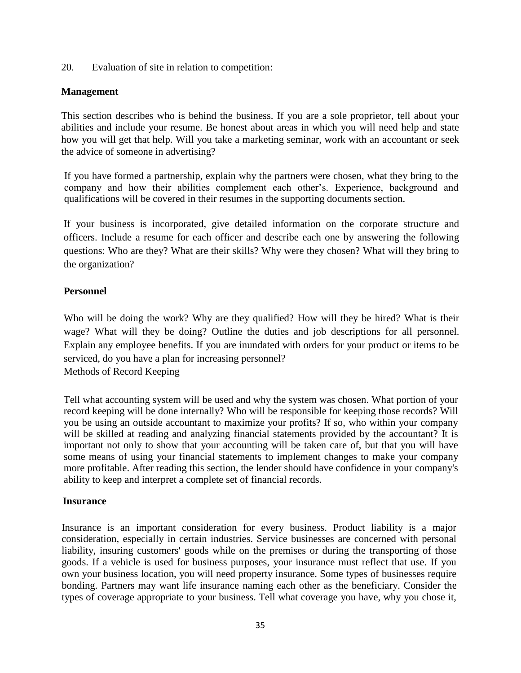20. Evaluation of site in relation to competition:

#### **Management**

This section describes who is behind the business. If you are a sole proprietor, tell about your abilities and include your resume. Be honest about areas in which you will need help and state how you will get that help. Will you take a marketing seminar, work with an accountant or seek the advice of someone in advertising?

If you have formed a partnership, explain why the partners were chosen, what they bring to the company and how their abilities complement each other's. Experience, background and qualifications will be covered in their resumes in the supporting documents section.

If your business is incorporated, give detailed information on the corporate structure and officers. Include a resume for each officer and describe each one by answering the following questions: Who are they? What are their skills? Why were they chosen? What will they bring to the organization?

#### **Personnel**

Who will be doing the work? Why are they qualified? How will they be hired? What is their wage? What will they be doing? Outline the duties and job descriptions for all personnel. Explain any employee benefits. If you are inundated with orders for your product or items to be serviced, do you have a plan for increasing personnel?

Methods of Record Keeping

Tell what accounting system will be used and why the system was chosen. What portion of your record keeping will be done internally? Who will be responsible for keeping those records? Will you be using an outside accountant to maximize your profits? If so, who within your company will be skilled at reading and analyzing financial statements provided by the accountant? It is important not only to show that your accounting will be taken care of, but that you will have some means of using your financial statements to implement changes to make your company more profitable. After reading this section, the lender should have confidence in your company's ability to keep and interpret a complete set of financial records.

#### **Insurance**

Insurance is an important consideration for every business. Product liability is a major consideration, especially in certain industries. Service businesses are concerned with personal liability, insuring customers' goods while on the premises or during the transporting of those goods. If a vehicle is used for business purposes, your insurance must reflect that use. If you own your business location, you will need property insurance. Some types of businesses require bonding. Partners may want life insurance naming each other as the beneficiary. Consider the types of coverage appropriate to your business. Tell what coverage you have, why you chose it,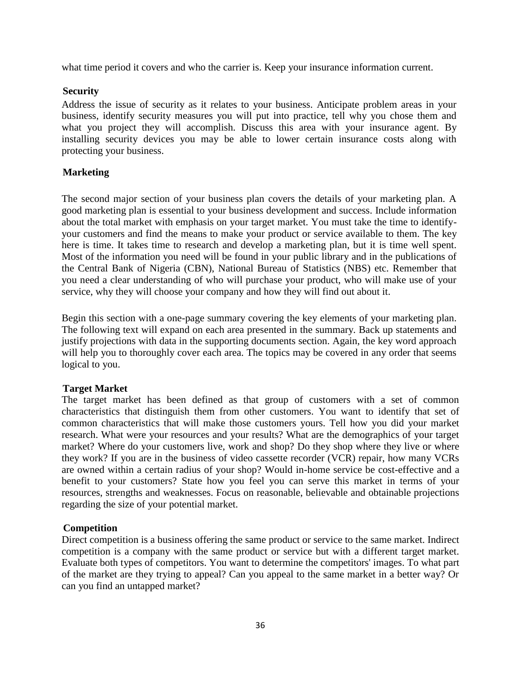what time period it covers and who the carrier is. Keep your insurance information current.

#### **Security**

Address the issue of security as it relates to your business. Anticipate problem areas in your business, identify security measures you will put into practice, tell why you chose them and what you project they will accomplish. Discuss this area with your insurance agent. By installing security devices you may be able to lower certain insurance costs along with protecting your business.

### **Marketing**

The second major section of your business plan covers the details of your marketing plan. A good marketing plan is essential to your business development and success. Include information about the total market with emphasis on your target market. You must take the time to identifyyour customers and find the means to make your product or service available to them. The key here is time. It takes time to research and develop a marketing plan, but it is time well spent. Most of the information you need will be found in your public library and in the publications of the Central Bank of Nigeria (CBN), National Bureau of Statistics (NBS) etc. Remember that you need a clear understanding of who will purchase your product, who will make use of your service, why they will choose your company and how they will find out about it.

Begin this section with a one-page summary covering the key elements of your marketing plan. The following text will expand on each area presented in the summary. Back up statements and justify projections with data in the supporting documents section. Again, the key word approach will help you to thoroughly cover each area. The topics may be covered in any order that seems logical to you.

### **Target Market**

The target market has been defined as that group of customers with a set of common characteristics that distinguish them from other customers. You want to identify that set of common characteristics that will make those customers yours. Tell how you did your market research. What were your resources and your results? What are the demographics of your target market? Where do your customers live, work and shop? Do they shop where they live or where they work? If you are in the business of video cassette recorder (VCR) repair, how many VCRs are owned within a certain radius of your shop? Would in-home service be cost-effective and a benefit to your customers? State how you feel you can serve this market in terms of your resources, strengths and weaknesses. Focus on reasonable, believable and obtainable projections regarding the size of your potential market.

### **Competition**

Direct competition is a business offering the same product or service to the same market. Indirect competition is a company with the same product or service but with a different target market. Evaluate both types of competitors. You want to determine the competitors' images. To what part of the market are they trying to appeal? Can you appeal to the same market in a better way? Or can you find an untapped market?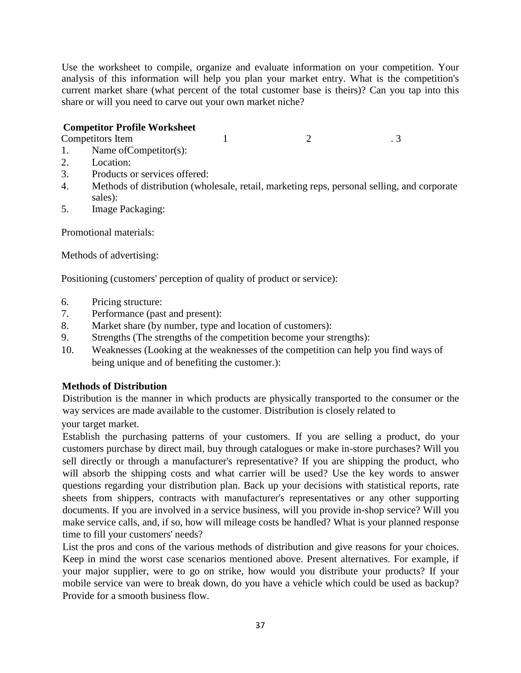Use the worksheet to compile, organize and evaluate information on your competition. Your analysis of this information will help you plan your market entry. What is the competition's current market share (what percent of the total customer base is theirs)? Can you tap into this share or will you need to carve out your own market niche?

### **Competitor Profile Worksheet**

Competitors Item 1 2 3

- 1. Name ofCompetitor(s):
- 2. Location:
- 3. Products or services offered:
- 4. Methods of distribution (wholesale, retail, marketing reps, personal selling, and corporate sales):
- 5. Image Packaging:

Promotional materials:

Methods of advertising:

Positioning (customers' perception of quality of product or service):

- 6. Pricing structure:
- 7. Performance (past and present):
- 8. Market share (by number, type and location of customers):
- 9. Strengths (The strengths of the competition become your strengths):
- 10. Weaknesses (Looking at the weaknesses of the competition can help you find ways of being unique and of benefiting the customer.):

# **Methods of Distribution**

Distribution is the manner in which products are physically transported to the consumer or the way services are made available to the customer. Distribution is closely related to

your target market.

Establish the purchasing patterns of your customers. If you are selling a product, do your customers purchase by direct mail, buy through catalogues or make in-store purchases? Will you sell directly or through a manufacturer's representative? If you are shipping the product, who will absorb the shipping costs and what carrier will be used? Use the key words to answer questions regarding your distribution plan. Back up your decisions with statistical reports, rate sheets from shippers, contracts with manufacturer's representatives or any other supporting documents. If you are involved in a service business, will you provide in-shop service? Will you make service calls, and, if so, how will mileage costs be handled? What is your planned response time to fill your customers' needs?

List the pros and cons of the various methods of distribution and give reasons for your choices. Keep in mind the worst case scenarios mentioned above. Present alternatives. For example, if your major supplier, were to go on strike, how would you distribute your products? If your mobile service van were to break down, do you have a vehicle which could be used as backup? Provide for a smooth business flow.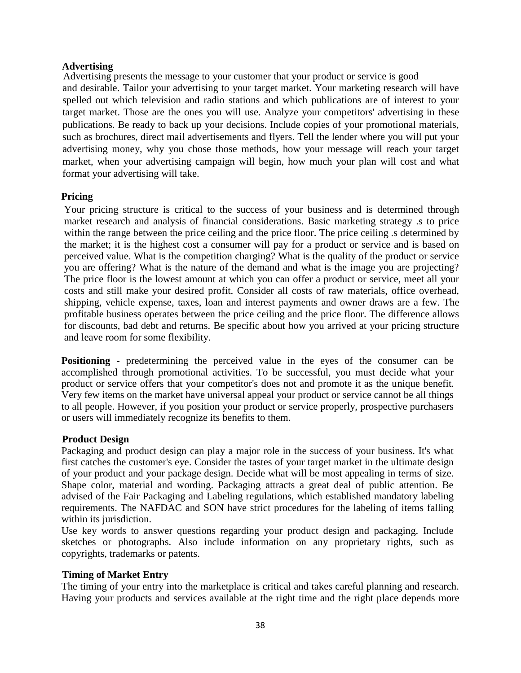#### **Advertising**

Advertising presents the message to your customer that your product or service is good and desirable. Tailor your advertising to your target market. Your marketing research will have spelled out which television and radio stations and which publications are of interest to your target market. Those are the ones you will use. Analyze your competitors' advertising in these publications. Be ready to back up your decisions. Include copies of your promotional materials, such as brochures, direct mail advertisements and flyers. Tell the lender where you will put your advertising money, why you chose those methods, how your message will reach your target market, when your advertising campaign will begin, how much your plan will cost and what format your advertising will take.

#### **Pricing**

Your pricing structure is critical to the success of your business and is determined through market research and analysis of financial considerations. Basic marketing strategy .s to price within the range between the price ceiling and the price floor. The price ceiling is determined by the market; it is the highest cost a consumer will pay for a product or service and is based on perceived value. What is the competition charging? What is the quality of the product or service you are offering? What is the nature of the demand and what is the image you are projecting? The price floor is the lowest amount at which you can offer a product or service, meet all your costs and still make your desired profit. Consider all costs of raw materials, office overhead, shipping, vehicle expense, taxes, loan and interest payments and owner draws are a few. The profitable business operates between the price ceiling and the price floor. The difference allows for discounts, bad debt and returns. Be specific about how you arrived at your pricing structure and leave room for some flexibility.

**Positioning** - predetermining the perceived value in the eyes of the consumer can be accomplished through promotional activities. To be successful, you must decide what your product or service offers that your competitor's does not and promote it as the unique benefit. Very few items on the market have universal appeal your product or service cannot be all things to all people. However, if you position your product or service properly, prospective purchasers or users will immediately recognize its benefits to them.

#### **Product Design**

Packaging and product design can play a major role in the success of your business. It's what first catches the customer's eye. Consider the tastes of your target market in the ultimate design of your product and your package design. Decide what will be most appealing in terms of size. Shape color, material and wording. Packaging attracts a great deal of public attention. Be advised of the Fair Packaging and Labeling regulations, which established mandatory labeling requirements. The NAFDAC and SON have strict procedures for the labeling of items falling within its jurisdiction.

Use key words to answer questions regarding your product design and packaging. Include sketches or photographs. Also include information on any proprietary rights, such as copyrights, trademarks or patents.

### **Timing of Market Entry**

The timing of your entry into the marketplace is critical and takes careful planning and research. Having your products and services available at the right time and the right place depends more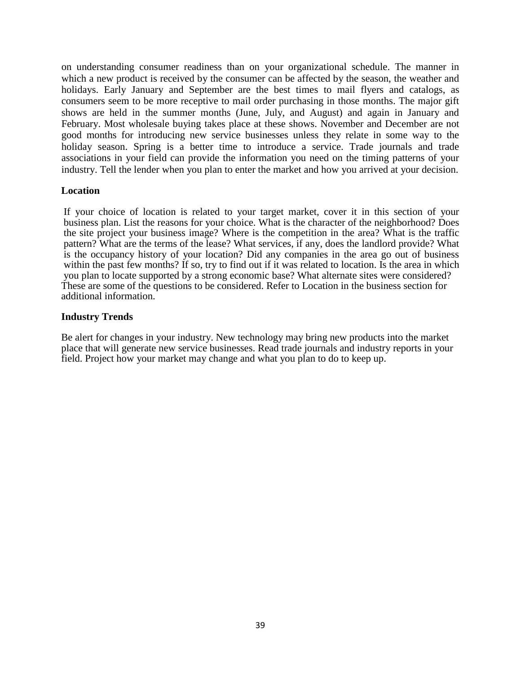on understanding consumer readiness than on your organizational schedule. The manner in which a new product is received by the consumer can be affected by the season, the weather and holidays. Early January and September are the best times to mail flyers and catalogs, as consumers seem to be more receptive to mail order purchasing in those months. The major gift shows are held in the summer months (June, July, and August) and again in January and February. Most wholesale buying takes place at these shows. November and December are not good months for introducing new service businesses unless they relate in some way to the holiday season. Spring is a better time to introduce a service. Trade journals and trade associations in your field can provide the information you need on the timing patterns of your industry. Tell the lender when you plan to enter the market and how you arrived at your decision.

#### **Location**

If your choice of location is related to your target market, cover it in this section of your business plan. List the reasons for your choice. What is the character of the neighborhood? Does the site project your business image? Where is the competition in the area? What is the traffic pattern? What are the terms of the lease? What services, if any, does the landlord provide? What is the occupancy history of your location? Did any companies in the area go out of business within the past few months? If so, try to find out if it was related to location. Is the area in which you plan to locate supported by a strong economic base? What alternate sites were considered? These are some of the questions to be considered. Refer to Location in the business section for additional information.

#### **Industry Trends**

Be alert for changes in your industry. New technology may bring new products into the market place that will generate new service businesses. Read trade journals and industry reports in your field. Project how your market may change and what you plan to do to keep up.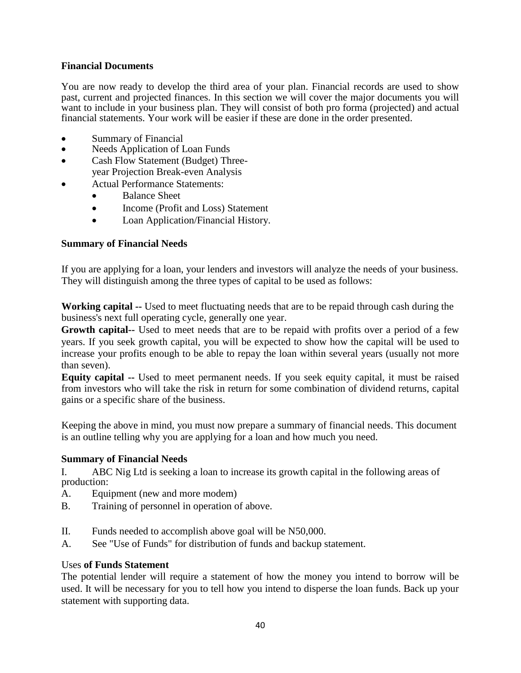#### **Financial Documents**

You are now ready to develop the third area of your plan. Financial records are used to show past, current and projected finances. In this section we will cover the major documents you will want to include in your business plan. They will consist of both pro forma (projected) and actual financial statements. Your work will be easier if these are done in the order presented.

- Summary of Financial
- Needs Application of Loan Funds
- Cash Flow Statement (Budget) Threeyear Projection Break-even Analysis
- Actual Performance Statements:
	- Balance Sheet
	- Income (Profit and Loss) Statement
	- Loan Application/Financial History.

#### **Summary of Financial Needs**

If you are applying for a loan, your lenders and investors will analyze the needs of your business. They will distinguish among the three types of capital to be used as follows:

**Working capital --** Used to meet fluctuating needs that are to be repaid through cash during the business's next full operating cycle, generally one year.

**Growth capital--** Used to meet needs that are to be repaid with profits over a period of a few years. If you seek growth capital, you will be expected to show how the capital will be used to increase your profits enough to be able to repay the loan within several years (usually not more than seven).

**Equity capital --** Used to meet permanent needs. If you seek equity capital, it must be raised from investors who will take the risk in return for some combination of dividend returns, capital gains or a specific share of the business.

Keeping the above in mind, you must now prepare a summary of financial needs. This document is an outline telling why you are applying for a loan and how much you need.

#### **Summary of Financial Needs**

I. ABC Nig Ltd is seeking a loan to increase its growth capital in the following areas of production:

- A. Equipment (new and more modem)
- B. Training of personnel in operation of above.
- II. Funds needed to accomplish above goal will be N50,000.
- A. See "Use of Funds" for distribution of funds and backup statement.

#### Uses **of Funds Statement**

The potential lender will require a statement of how the money you intend to borrow will be used. It will be necessary for you to tell how you intend to disperse the loan funds. Back up your statement with supporting data.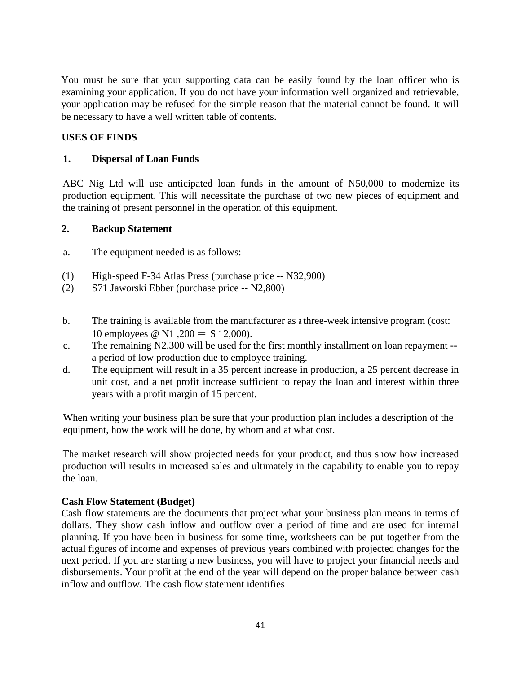You must be sure that your supporting data can be easily found by the loan officer who is examining your application. If you do not have your information well organized and retrievable, your application may be refused for the simple reason that the material cannot be found. It will be necessary to have a well written table of contents.

#### **USES OF FINDS**

#### **1. Dispersal of Loan Funds**

ABC Nig Ltd will use anticipated loan funds in the amount of N50,000 to modernize its production equipment. This will necessitate the purchase of two new pieces of equipment and the training of present personnel in the operation of this equipment.

#### **2. Backup Statement**

- a. The equipment needed is as follows:
- (1) High-speed F-34 Atlas Press (purchase price **--** N32,900)
- (2) S71 Jaworski Ebber (purchase price **--** N2,800)
- b. The training is available from the manufacturer as a three-week intensive program (cost: 10 employees @ N1,200 = S 12,000).
- c. The remaining N2,300 will be used for the first monthly installment on loan repayment **-** a period of low production due to employee training.
- d. The equipment will result in a 35 percent increase in production, a 25 percent decrease in unit cost, and a net profit increase sufficient to repay the loan and interest within three years with a profit margin of 15 percent.

When writing your business plan be sure that your production plan includes a description of the equipment, how the work will be done, by whom and at what cost.

The market research will show projected needs for your product, and thus show how increased production will results in increased sales and ultimately in the capability to enable you to repay the loan.

#### **Cash Flow Statement (Budget)**

Cash flow statements are the documents that project what your business plan means in terms of dollars. They show cash inflow and outflow over a period of time and are used for internal planning. If you have been in business for some time, worksheets can be put together from the actual figures of income and expenses of previous years combined with projected changes for the next period. If you are starting a new business, you will have to project your financial needs and disbursements. Your profit at the end of the year will depend on the proper balance between cash inflow and outflow. The cash flow statement identifies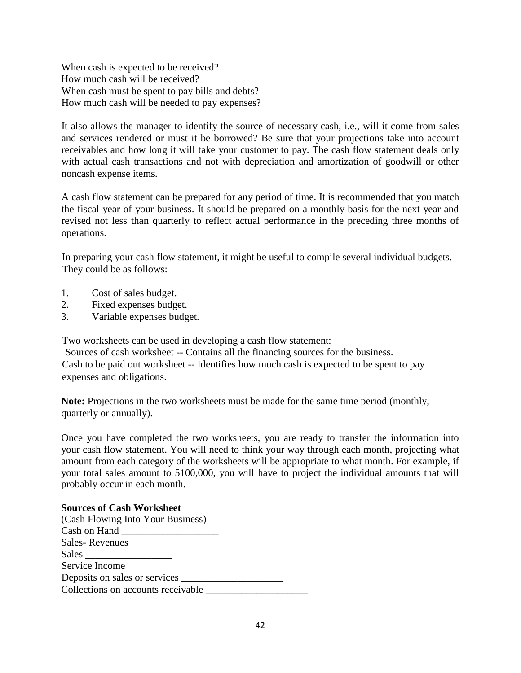When cash is expected to be received? How much cash will be received? When cash must be spent to pay bills and debts? How much cash will be needed to pay expenses?

It also allows the manager to identify the source of necessary cash, i.e., will it come from sales and services rendered or must it be borrowed? Be sure that your projections take into account receivables and how long it will take your customer to pay. The cash flow statement deals only with actual cash transactions and not with depreciation and amortization of goodwill or other noncash expense items.

A cash flow statement can be prepared for any period of time. It is recommended that you match the fiscal year of your business. It should be prepared on a monthly basis for the next year and revised not less than quarterly to reflect actual performance in the preceding three months of operations.

In preparing your cash flow statement, it might be useful to compile several individual budgets. They could be as follows:

- 1. Cost of sales budget.
- 2. Fixed expenses budget.
- 3. Variable expenses budget.

Two worksheets can be used in developing a cash flow statement:

Sources of cash worksheet -- Contains all the financing sources for the business. Cash to be paid out worksheet -- Identifies how much cash is expected to be spent to pay expenses and obligations.

**Note:** Projections in the two worksheets must be made for the same time period (monthly, quarterly or annually).

Once you have completed the two worksheets, you are ready to transfer the information into your cash flow statement. You will need to think your way through each month, projecting what amount from each category of the worksheets will be appropriate to what month. For example, if your total sales amount to 5100,000, you will have to project the individual amounts that will probably occur in each month.

#### **Sources of Cash Worksheet**

| (Cash Flowing Into Your Business)  |  |
|------------------------------------|--|
|                                    |  |
| <b>Sales-Revenues</b>              |  |
| Sales                              |  |
| Service Income                     |  |
|                                    |  |
| Collections on accounts receivable |  |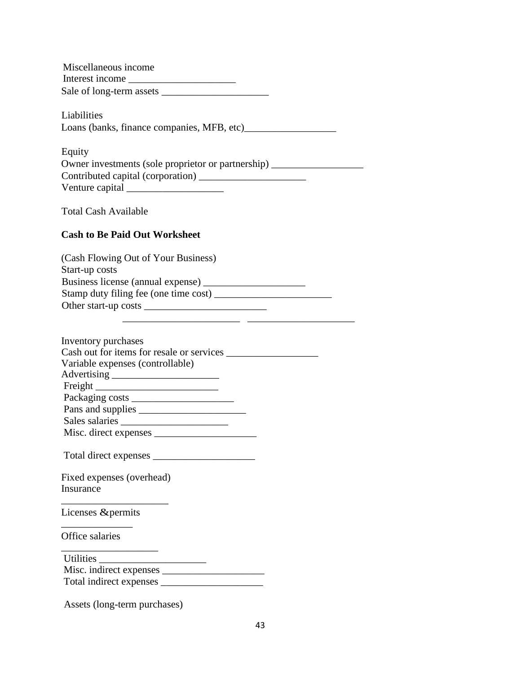Miscellaneous income Interest income \_\_\_\_\_\_\_\_\_\_\_\_\_\_\_\_\_\_\_\_\_ Sale of long-term assets \_\_\_\_\_\_\_\_\_\_\_\_\_\_\_\_\_\_\_\_\_

Liabilities Loans (banks, finance companies, MFB, etc)\_\_\_\_\_\_\_\_\_\_\_\_\_\_\_\_\_\_

| Equity                                               |
|------------------------------------------------------|
| Owner investments (sole proprietor or partnership) _ |
| Contributed capital (corporation)                    |
| Venture capital                                      |

Total Cash Available

#### **Cash to Be Paid Out Worksheet**

| (Cash Flowing Out of Your Business)   |  |
|---------------------------------------|--|
| Start-up costs                        |  |
| Business license (annual expense)     |  |
| Stamp duty filing fee (one time cost) |  |
| Other start-up costs                  |  |
|                                       |  |

| Inventory purchases              |  |
|----------------------------------|--|
|                                  |  |
| Variable expenses (controllable) |  |
|                                  |  |
|                                  |  |
|                                  |  |
|                                  |  |
|                                  |  |
|                                  |  |
|                                  |  |
| Fixed expenses (overhead)        |  |
| Insurance                        |  |
| Licenses & permits               |  |
| Office salaries                  |  |

Utilities \_\_\_\_\_\_\_\_\_\_\_\_\_\_\_\_\_\_\_\_\_ Misc. indirect expenses \_\_\_\_\_\_\_\_\_\_\_\_\_\_\_\_\_\_\_\_ Total indirect expenses \_\_\_\_\_\_\_\_\_\_\_\_\_\_\_\_\_\_\_\_

Assets (long-term purchases)

\_\_\_\_\_\_\_\_\_\_\_\_\_\_\_\_\_\_\_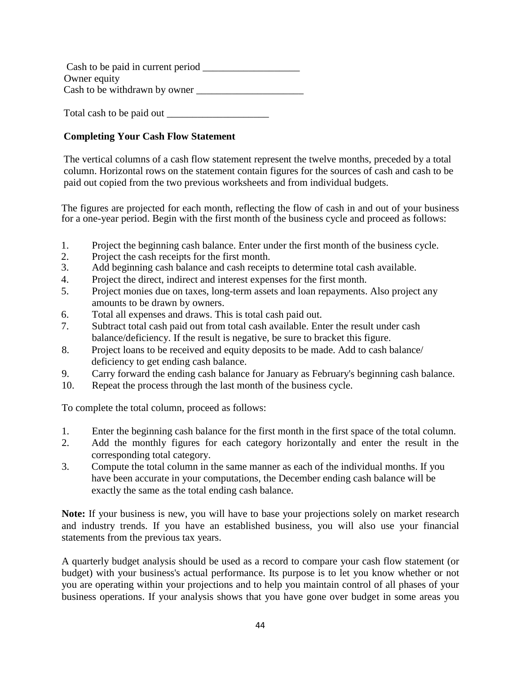Cash to be paid in current period Owner equity Cash to be withdrawn by owner

Total cash to be paid out \_\_\_\_\_\_\_\_\_\_\_\_\_\_\_\_\_\_\_\_

# **Completing Your Cash Flow Statement**

The vertical columns of a cash flow statement represent the twelve months, preceded by a total column. Horizontal rows on the statement contain figures for the sources of cash and cash to be paid out copied from the two previous worksheets and from individual budgets.

The figures are projected for each month, reflecting the flow of cash in and out of your business for a one-year period. Begin with the first month of the business cycle and proceed as follows:

- 1. Project the beginning cash balance. Enter under the first month of the business cycle.
- 2. Project the cash receipts for the first month.
- 3. Add beginning cash balance and cash receipts to determine total cash available.
- 4. Project the direct, indirect and interest expenses for the first month.
- 5. Project monies due on taxes, long-term assets and loan repayments. Also project any amounts to be drawn by owners.
- 6. Total all expenses and draws. This is total cash paid out.
- 7. Subtract total cash paid out from total cash available. Enter the result under cash balance/deficiency. If the result is negative, be sure to bracket this figure.
- 8. Project loans to be received and equity deposits to be made. Add to cash balance/ deficiency to get ending cash balance.
- 9. Carry forward the ending cash balance for January as February's beginning cash balance.
- 10. Repeat the process through the last month of the business cycle.

To complete the total column, proceed as follows:

- 1. Enter the beginning cash balance for the first month in the first space of the total column.
- 2. Add the monthly figures for each category horizontally and enter the result in the corresponding total category.
- 3. Compute the total column in the same manner as each of the individual months. If you have been accurate in your computations, the December ending cash balance will be exactly the same as the total ending cash balance.

**Note:** If your business is new, you will have to base your projections solely on market research and industry trends. If you have an established business, you will also use your financial statements from the previous tax years.

A quarterly budget analysis should be used as a record to compare your cash flow statement (or budget) with your business's actual performance. Its purpose is to let you know whether or not you are operating within your projections and to help you maintain control of all phases of your business operations. If your analysis shows that you have gone over budget in some areas you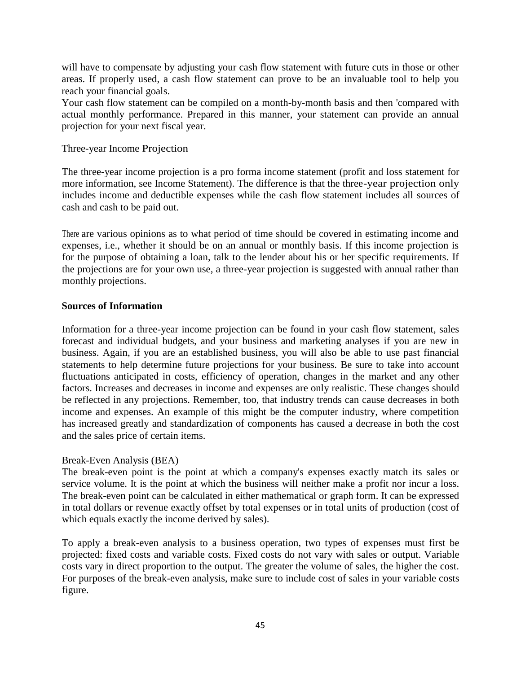will have to compensate by adjusting your cash flow statement with future cuts in those or other areas. If properly used, a cash flow statement can prove to be an invaluable tool to help you reach your financial goals.

Your cash flow statement can be compiled on a month-by-month basis and then 'compared with actual monthly performance. Prepared in this manner, your statement can provide an annual projection for your next fiscal year.

#### Three-year Income Projection

The three-year income projection is a pro forma income statement (profit and loss statement for more information, see Income Statement). The difference is that the three-year projection only includes income and deductible expenses while the cash flow statement includes all sources of cash and cash to be paid out.

There are various opinions as to what period of time should be covered in estimating income and expenses, i.e., whether it should be on an annual or monthly basis. If this income projection is for the purpose of obtaining a loan, talk to the lender about his or her specific requirements. If the projections are for your own use, a three-year projection is suggested with annual rather than monthly projections.

#### **Sources of Information**

Information for a three-year income projection can be found in your cash flow statement, sales forecast and individual budgets, and your business and marketing analyses if you are new in business. Again, if you are an established business, you will also be able to use past financial statements to help determine future projections for your business. Be sure to take into account fluctuations anticipated in costs, efficiency of operation, changes in the market and any other factors. Increases and decreases in income and expenses are only realistic. These changes should be reflected in any projections. Remember, too, that industry trends can cause decreases in both income and expenses. An example of this might be the computer industry, where competition has increased greatly and standardization of components has caused a decrease in both the cost and the sales price of certain items.

#### Break-Even Analysis (BEA)

The break-even point is the point at which a company's expenses exactly match its sales or service volume. It is the point at which the business will neither make a profit nor incur a loss. The break-even point can be calculated in either mathematical or graph form. It can be expressed in total dollars or revenue exactly offset by total expenses or in total units of production (cost of which equals exactly the income derived by sales).

To apply a break-even analysis to a business operation, two types of expenses must first be projected: fixed costs and variable costs. Fixed costs do not vary with sales or output. Variable costs vary in direct proportion to the output. The greater the volume of sales, the higher the cost. For purposes of the break-even analysis, make sure to include cost of sales in your variable costs figure.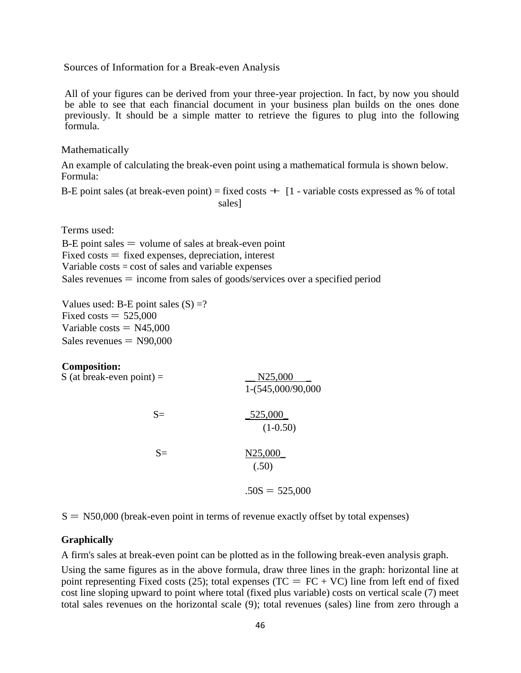Sources of Information for a Break-even Analysis

All of your figures can be derived from your three-year projection. In fact, by now you should be able to see that each financial document in your business plan builds on the ones done previously. It should be a simple matter to retrieve the figures to plug into the following formula.

Mathematically

An example of calculating the break-even point using a mathematical formula is shown below. Formula:

B-E point sales (at break-even point) = fixed costs  $+$  [1 - variable costs expressed as % of total sales]

Terms used:

 $B-E$  point sales  $=$  volume of sales at break-even point  $Fixed costs = fixed expenses, depreciation, interest$ Variable costs = cost of sales and variable expenses Sales revenues  $=$  income from sales of goods/services over a specified period

Values used: B-E point sales  $(S) = ?$ Fixed costs  $= 525,000$ Variable costs  $=$  N45,000  $Sales$  revenues  $=$  N90,000

#### **Composition:**

| S (at break-even point) $=$ | N25,000<br>1-(545,000/90,000 |
|-----------------------------|------------------------------|
| $S=$                        | _525,000_<br>$(1-0.50)$      |
| $S=$                        | N25,000<br>(.50)             |
|                             | $.50S = 525,000$             |

 $S = N50,000$  (break-even point in terms of revenue exactly offset by total expenses)

#### **Graphically**

A firm's sales at break-even point can be plotted as in the following break-even analysis graph.

Using the same figures as in the above formula, draw three lines in the graph: horizontal line at point representing Fixed costs (25); total expenses (TC =  $FC + VC$ ) line from left end of fixed cost line sloping upward to point where total (fixed plus variable) costs on vertical scale (7) meet total sales revenues on the horizontal scale (9); total revenues (sales) line from zero through a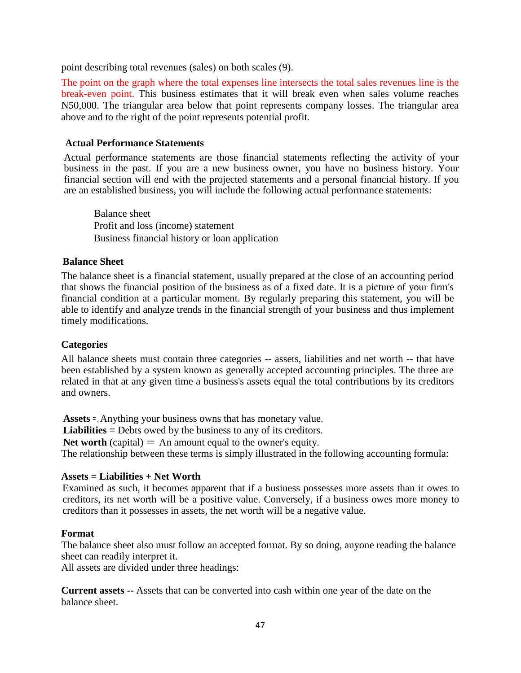point describing total revenues (sales) on both scales (9).

The point on the graph where the total expenses line intersects the total sales revenues line is the break-even point. This business estimates that it will break even when sales volume reaches N50,000. The triangular area below that point represents company losses. The triangular area above and to the right of the point represents potential profit.

#### **Actual Performance Statements**

Actual performance statements are those financial statements reflecting the activity of your business in the past. If you are a new business owner, you have no business history. Your financial section will end with the projected statements and a personal financial history. If you are an established business, you will include the following actual performance statements:

Balance sheet Profit and loss (income) statement Business financial history or loan application

#### **Balance Sheet**

The balance sheet is a financial statement, usually prepared at the close of an accounting period that shows the financial position of the business as of a fixed date. It is a picture of your firm's financial condition at a particular moment. By regularly preparing this statement, you will be able to identify and analyze trends in the financial strength of your business and thus implement timely modifications.

#### **Categories**

All balance sheets must contain three categories -- assets, liabilities and net worth -- that have been established by a system known as generally accepted accounting principles. The three are related in that at any given time a business's assets equal the total contributions by its creditors and owners.

**Assets =** , Anything your business owns that has monetary value.

**Liabilities =** Debts owed by the business to any of its creditors.

**Net worth** (capital)  $=$  An amount equal to the owner's equity.

The relationship between these terms is simply illustrated in the following accounting formula:

#### **Assets = Liabilities + Net Worth**

Examined as such, it becomes apparent that if a business possesses more assets than it owes to creditors, its net worth will be a positive value. Conversely, if a business owes more money to creditors than it possesses in assets, the net worth will be a negative value.

#### **Format**

The balance sheet also must follow an accepted format. By so doing, anyone reading the balance sheet can readily interpret it.

All assets are divided under three headings:

**Current assets --** Assets that can be converted into cash within one year of the date on the balance sheet.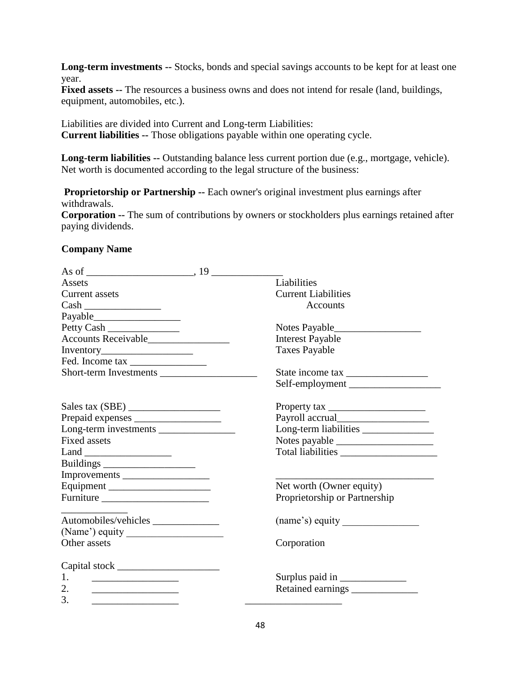**Long-term investments --** Stocks, bonds and special savings accounts to be kept for at least one year.

**Fixed assets --** The resources a business owns and does not intend for resale (land, buildings, equipment, automobiles, etc.).

Liabilities are divided into Current and Long-term Liabilities: **Current liabilities --** Those obligations payable within one operating cycle.

**Long-term liabilities --** Outstanding balance less current portion due (e.g., mortgage, vehicle). Net worth is documented according to the legal structure of the business:

**Proprietorship or Partnership --** Each owner's original investment plus earnings after withdrawals.

**Corporation --** The sum of contributions by owners or stockholders plus earnings retained after paying dividends.

#### **Company Name**

| Assets                                                                | Liabilities                   |
|-----------------------------------------------------------------------|-------------------------------|
| Current assets                                                        | <b>Current Liabilities</b>    |
|                                                                       | Accounts                      |
|                                                                       |                               |
| Petty Cash                                                            |                               |
| Accounts Receivable                                                   | <b>Interest Payable</b>       |
|                                                                       | <b>Taxes Payable</b>          |
| Fed. Income tax                                                       |                               |
|                                                                       |                               |
|                                                                       | Self-employment               |
|                                                                       |                               |
|                                                                       |                               |
| Long-term investments                                                 | Long-term liabilities         |
| <b>Fixed assets</b>                                                   |                               |
|                                                                       |                               |
|                                                                       |                               |
| Improvements                                                          |                               |
|                                                                       | Net worth (Owner equity)      |
| Furniture                                                             | Proprietorship or Partnership |
| Automobiles/vehicles                                                  | (name's) equity               |
|                                                                       |                               |
| Other assets                                                          | Corporation                   |
|                                                                       |                               |
|                                                                       |                               |
| 1.<br>the control of the control of the control of the control of the |                               |
| 2.<br><u> 1989 - Johann Barbara, martin a</u>                         |                               |
| 3.                                                                    |                               |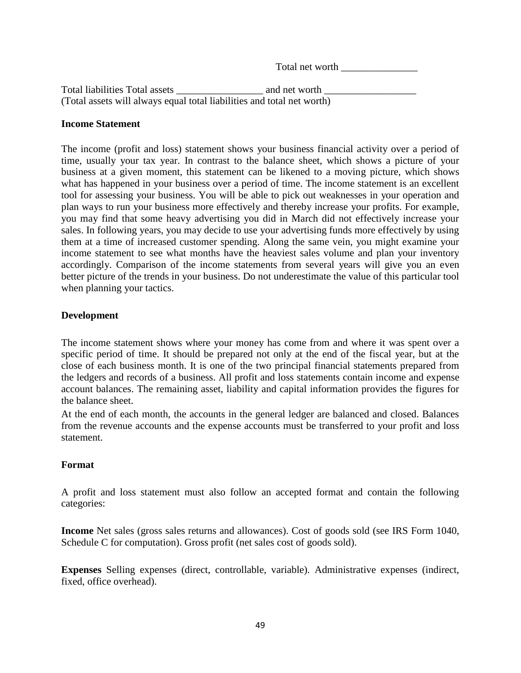Total net worth **with** 

Total liabilities Total assets \_\_\_\_\_\_\_\_\_\_\_\_\_\_\_\_\_ and net worth \_\_\_\_\_\_\_\_\_\_\_\_\_\_\_\_\_\_ (Total assets will always equal total liabilities and total net worth)

#### **Income Statement**

The income (profit and loss) statement shows your business financial activity over a period of time, usually your tax year. In contrast to the balance sheet, which shows a picture of your business at a given moment, this statement can be likened to a moving picture, which shows what has happened in your business over a period of time. The income statement is an excellent tool for assessing your business. You will be able to pick out weaknesses in your operation and plan ways to run your business more effectively and thereby increase your profits. For example, you may find that some heavy advertising you did in March did not effectively increase your sales. In following years, you may decide to use your advertising funds more effectively by using them at a time of increased customer spending. Along the same vein, you might examine your income statement to see what months have the heaviest sales volume and plan your inventory accordingly. Comparison of the income statements from several years will give you an even better picture of the trends in your business. Do not underestimate the value of this particular tool when planning your tactics.

### **Development**

The income statement shows where your money has come from and where it was spent over a specific period of time. It should be prepared not only at the end of the fiscal year, but at the close of each business month. It is one of the two principal financial statements prepared from the ledgers and records of a business. All profit and loss statements contain income and expense account balances. The remaining asset, liability and capital information provides the figures for the balance sheet.

At the end of each month, the accounts in the general ledger are balanced and closed. Balances from the revenue accounts and the expense accounts must be transferred to your profit and loss statement.

#### **Format**

A profit and loss statement must also follow an accepted format and contain the following categories:

**Income** Net sales (gross sales returns and allowances). Cost of goods sold (see IRS Form 1040, Schedule C for computation). Gross profit (net sales cost of goods sold).

**Expenses** Selling expenses (direct, controllable, variable). Administrative expenses (indirect, fixed, office overhead).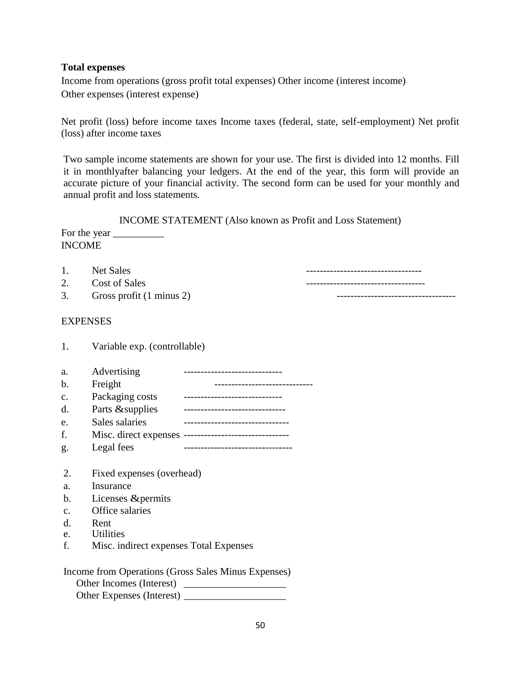#### **Total expenses**

Income from operations (gross profit total expenses) Other income (interest income) Other expenses (interest expense)

Net profit (loss) before income taxes Income taxes (federal, state, self-employment) Net profit (loss) after income taxes

Two sample income statements are shown for your use. The first is divided into 12 months. Fill it in monthlyafter balancing your ledgers. At the end of the year, this form will provide an accurate picture of your financial activity. The second form can be used for your monthly and annual profit and loss statements.

INCOME STATEMENT (Also known as Profit and Loss Statement) For the year  $\overline{\phantom{a}}$ 

| <b>INCOME</b> |  |
|---------------|--|
|               |  |

1. Net Sales **-----------------------------------**2. Cost of Sales  $\overline{\phantom{a}}$ 3. Gross profit (1 minus 2)

#### **EXPENSES**

| a.            | Advertising               |                               |
|---------------|---------------------------|-------------------------------|
| b.            | Freight                   |                               |
| $C_{\bullet}$ | Packaging costs           |                               |
| d.            | Parts & supplies          |                               |
| e.            | Sales salaries            | ---------------------------   |
| f.            |                           |                               |
| g.            | Legal fees                | ----------------------------- |
|               |                           |                               |
| $2_{\cdot}$   | Fixed expenses (overhead) |                               |
|               | т.                        |                               |

- a. Insurance
- b. Licenses &permits

1. Variable exp. (controllable)

- c. Office salaries
- d. Rent
- e. Utilities
- f. Misc. indirect expenses Total Expenses

| Income from Operations (Gross Sales Minus Expenses) |
|-----------------------------------------------------|
| Other Incomes (Interest)                            |
| Other Expenses (Interest)                           |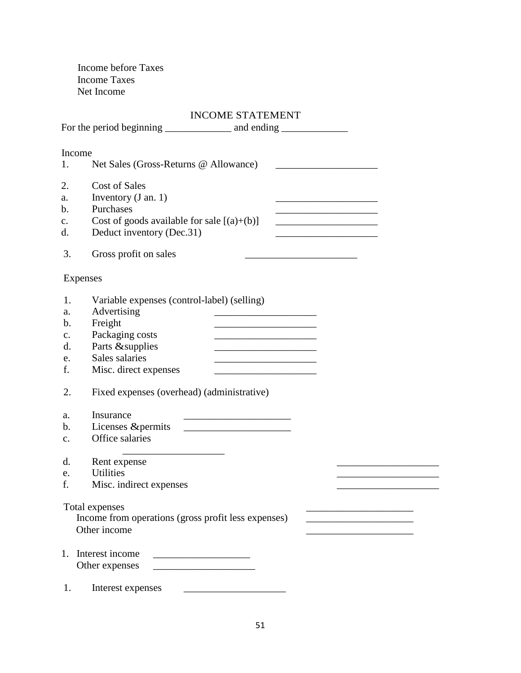Income before Taxes Income Taxes Net Income

#### INCOME STATEMENT

| For the period beginning ________________ and ending ____________________________                                                                                                                                                                                                                                                                                                                                                                                                                                                                                                       |  |
|-----------------------------------------------------------------------------------------------------------------------------------------------------------------------------------------------------------------------------------------------------------------------------------------------------------------------------------------------------------------------------------------------------------------------------------------------------------------------------------------------------------------------------------------------------------------------------------------|--|
| Income<br>Net Sales (Gross-Returns @ Allowance)<br>1.                                                                                                                                                                                                                                                                                                                                                                                                                                                                                                                                   |  |
| 2.<br><b>Cost of Sales</b><br>Inventory $(J \text{ an. } 1)$<br>a.<br><u> 1989 - Johann John Harrison, mars and de final and de final and de final and de final and de final and de final</u><br>Purchases<br>$\mathbf{b}$ .<br><u> 1989 - Johann Barbara, martxa al III-lea (h. 1978).</u><br>Cost of goods available for sale $[(a)+(b)]$<br>$C_{\bullet}$<br><u> 1990 - Johann Barn, mars ann an t-Amhain ann an t-A</u><br>Deduct inventory (Dec.31)<br>d.<br><u> 1989 - Johann Barbara, martin amerikan basal dan berasal dalam basal dalam basal dalam basal dalam basal dala</u> |  |
| 3.<br>Gross profit on sales                                                                                                                                                                                                                                                                                                                                                                                                                                                                                                                                                             |  |
| <b>Expenses</b>                                                                                                                                                                                                                                                                                                                                                                                                                                                                                                                                                                         |  |
| 1.<br>Variable expenses (control-label) (selling)<br>Advertising<br>a.<br>Freight<br>$\mathbf b$ .<br>Packaging costs<br>$C_{\bullet}$<br>Parts & supplies<br>d.<br>Sales salaries<br>e.<br>f.<br>Misc. direct expenses<br><u> 1989 - Johann Barn, mars et al. (b. 1989)</u>                                                                                                                                                                                                                                                                                                            |  |
| Fixed expenses (overhead) (administrative)<br>2.                                                                                                                                                                                                                                                                                                                                                                                                                                                                                                                                        |  |
| Insurance<br>a.<br>Licenses & permits<br>$\mathbf{b}$ .<br>Office salaries<br>$\mathbf{c}$ .                                                                                                                                                                                                                                                                                                                                                                                                                                                                                            |  |
| Rent expense<br>d.                                                                                                                                                                                                                                                                                                                                                                                                                                                                                                                                                                      |  |
| <b>Utilities</b><br>e.<br>f.<br>Misc. indirect expenses                                                                                                                                                                                                                                                                                                                                                                                                                                                                                                                                 |  |
| Total expenses<br>Income from operations (gross profit less expenses)<br>Other income                                                                                                                                                                                                                                                                                                                                                                                                                                                                                                   |  |
| Interest income<br>1.<br>Other expenses                                                                                                                                                                                                                                                                                                                                                                                                                                                                                                                                                 |  |
| Interest expenses<br>1.                                                                                                                                                                                                                                                                                                                                                                                                                                                                                                                                                                 |  |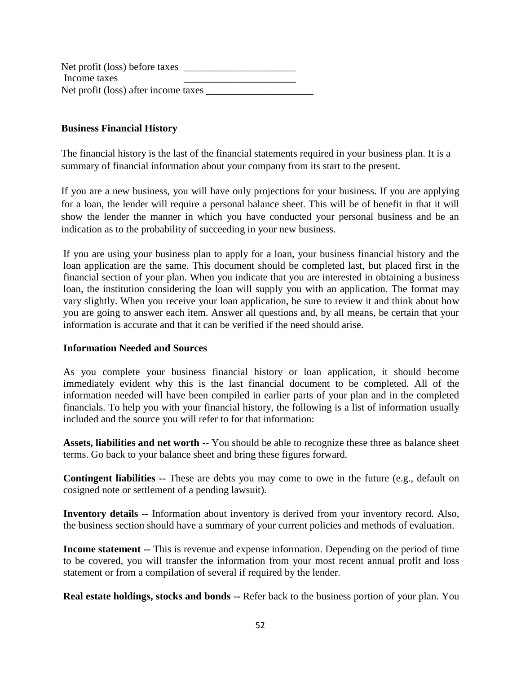Net profit (loss) before taxes Income taxes \_\_\_\_\_\_\_\_\_\_\_\_\_\_\_\_\_\_\_\_\_\_ Net profit (loss) after income taxes \_\_\_\_\_\_\_\_\_\_\_\_\_\_\_\_\_\_\_\_\_

#### **Business Financial History**

The financial history is the last of the financial statements required in your business plan. It is a summary of financial information about your company from its start to the present.

If you are a new business, you will have only projections for your business. If you are applying for a loan, the lender will require a personal balance sheet. This will be of benefit in that it will show the lender the manner in which you have conducted your personal business and be an indication as to the probability of succeeding in your new business.

If you are using your business plan to apply for a loan, your business financial history and the loan application are the same. This document should be completed last, but placed first in the financial section of your plan. When you indicate that you are interested in obtaining a business loan, the institution considering the loan will supply you with an application. The format may vary slightly. When you receive your loan application, be sure to review it and think about how you are going to answer each item. Answer all questions and, by all means, be certain that your information is accurate and that it can be verified if the need should arise.

#### **Information Needed and Sources**

As you complete your business financial history or loan application, it should become immediately evident why this is the last financial document to be completed. All of the information needed will have been compiled in earlier parts of your plan and in the completed financials. To help you with your financial history, the following is a list of information usually included and the source you will refer to for that information:

**Assets, liabilities and net worth --** You should be able to recognize these three as balance sheet terms. Go back to your balance sheet and bring these figures forward.

**Contingent liabilities --** These are debts you may come to owe in the future (e.g., default on cosigned note or settlement of a pending lawsuit).

**Inventory details --** Information about inventory is derived from your inventory record. Also, the business section should have a summary of your current policies and methods of evaluation.

**Income statement --** This is revenue and expense information. Depending on the period of time to be covered, you will transfer the information from your most recent annual profit and loss statement or from a compilation of several if required by the lender.

**Real estate holdings, stocks and bonds --** Refer back to the business portion of your plan. You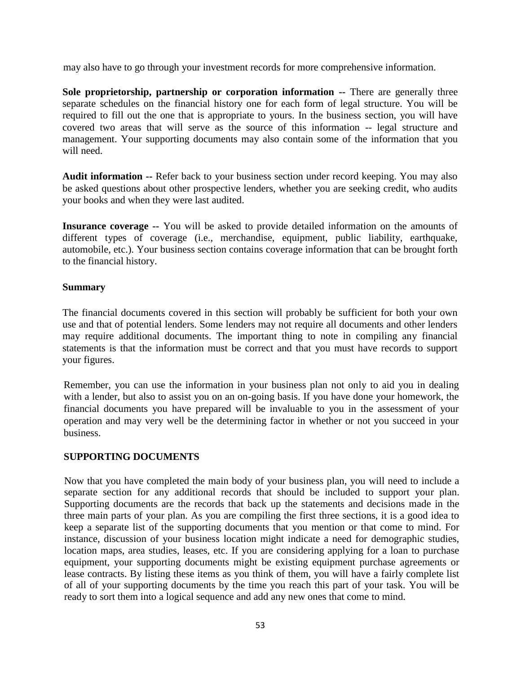may also have to go through your investment records for more comprehensive information.

**Sole proprietorship, partnership or corporation information --** There are generally three separate schedules on the financial history one for each form of legal structure. You will be required to fill out the one that is appropriate to yours. In the business section, you will have covered two areas that will serve as the source of this information -- legal structure and management. Your supporting documents may also contain some of the information that you will need.

**Audit information --** Refer back to your business section under record keeping. You may also be asked questions about other prospective lenders, whether you are seeking credit, who audits your books and when they were last audited.

**Insurance coverage --** You will be asked to provide detailed information on the amounts of different types of coverage (i.e., merchandise, equipment, public liability, earthquake, automobile, etc.). Your business section contains coverage information that can be brought forth to the financial history.

#### **Summary**

The financial documents covered in this section will probably be sufficient for both your own use and that of potential lenders. Some lenders may not require all documents and other lenders may require additional documents. The important thing to note in compiling any financial statements is that the information must be correct and that you must have records to support your figures.

Remember, you can use the information in your business plan not only to aid you in dealing with a lender, but also to assist you on an on-going basis. If you have done your homework, the financial documents you have prepared will be invaluable to you in the assessment of your operation and may very well be the determining factor in whether or not you succeed in your business.

### **SUPPORTING DOCUMENTS**

Now that you have completed the main body of your business plan, you will need to include a separate section for any additional records that should be included to support your plan. Supporting documents are the records that back up the statements and decisions made in the three main parts of your plan. As you are compiling the first three sections, it is a good idea to keep a separate list of the supporting documents that you mention or that come to mind. For instance, discussion of your business location might indicate a need for demographic studies, location maps, area studies, leases, etc. If you are considering applying for a loan to purchase equipment, your supporting documents might be existing equipment purchase agreements or lease contracts. By listing these items as you think of them, you will have a fairly complete list of all of your supporting documents by the time you reach this part of your task. You will be ready to sort them into a logical sequence and add any new ones that come to mind.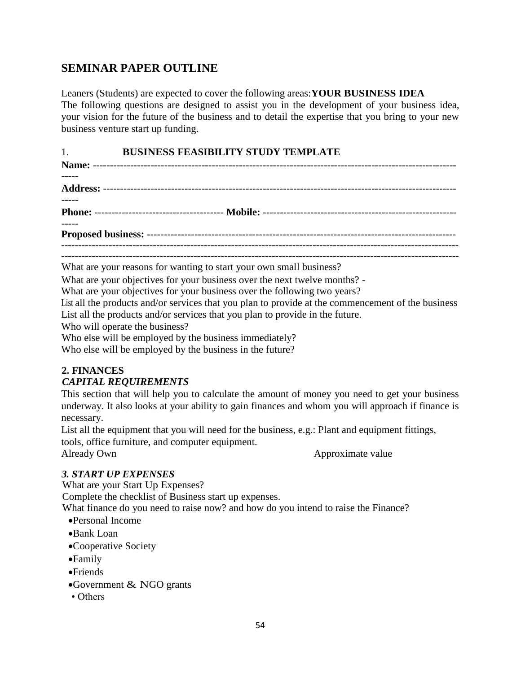# **SEMINAR PAPER OUTLINE**

Leaners (Students) are expected to cover the following areas:**YOUR BUSINESS IDEA**  The following questions are designed to assist you in the development of your business idea, your vision for the future of the business and to detail the expertise that you bring to your new business venture start up funding.

# 1. **BUSINESS FEASIBILITY STUDY TEMPLATE**

**Name:** ----------------------------------------------------------------------------------------------------------- ----- **Address:** -------------------------------------------------------------------------------------------------------- **Phone:** -------------------------------------- **Mobile:** --------------------------------------------------------- ----- **Proposed business:** ------------------------------------------------------------------------------------------- ---------------------------------------------------------------------------------------------------------------------

What are your reasons for wanting to start your own small business?

What are your objectives for your business over the next twelve months? -

What are your objectives for your business over the following two years?

List all the products and/or services that you plan to provide at the commencement of the business List all the products and/or services that you plan to provide in the future.

Who will operate the business?

Who else will be employed by the business immediately?

Who else will be employed by the business in the future?

### **2. FINANCES**

### *CAPITAL REQUIREMENTS*

This section that will help you to calculate the amount of money you need to get your business underway. It also looks at your ability to gain finances and whom you will approach if finance is necessary.

List all the equipment that you will need for the business, e.g.: Plant and equipment fittings, tools, office furniture, and computer equipment.

Already Own Approximate value

### *3. START UP EXPENSES*

What are your Start Up Expenses? Complete the checklist of Business start up expenses. What finance do you need to raise now? and how do you intend to raise the Finance?

- Personal Income
- Bank Loan
- Cooperative Society
- Family
- Friends
- Government & NGO grants
- Others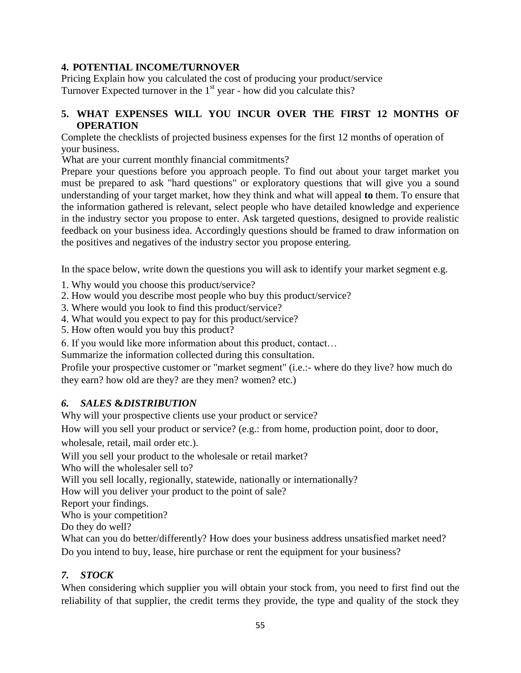# **4. POTENTIAL INCOME/TURNOVER**

Pricing Explain how you calculated the cost of producing your product/service Turnover Expected turnover in the  $1<sup>st</sup>$  year - how did you calculate this?

# **5. WHAT EXPENSES WILL YOU INCUR OVER THE FIRST 12 MONTHS OF OPERATION**

Complete the checklists of projected business expenses for the first 12 months of operation of your business.

What are your current monthly financial commitments?

Prepare your questions before you approach people. To find out about your target market you must be prepared to ask "hard questions" or exploratory questions that will give you a sound understanding of your target market, how they think and what will appeal **to** them. To ensure that the information gathered is relevant, select people who have detailed knowledge and experience in the industry sector you propose to enter. Ask targeted questions, designed to provide realistic feedback on your business idea. Accordingly questions should be framed to draw information on the positives and negatives of the industry sector you propose entering.

In the space below, write down the questions you will ask to identify your market segment e.g.

1. Why would you choose this product/service?

2. How would you describe most people who buy this product/service?

3. Where would you look to find this product/service?

4. What would you expect to pay for this product/service?

5. How often would you buy this product?

6. If you would like more information about this product, contact…

Summarize the information collected during this consultation.

Profile your prospective customer or "market segment" (i.e.:- where do they live? how much do they earn? how old are they? are they men? women? etc.)

# *6. SALES* **&***DISTRIBUTION*

Why will your prospective clients use your product or service?

How will you sell your product or service? (e.g.: from home, production point, door to door, wholesale, retail, mail order etc.).

Will you sell your product to the wholesale or retail market?

Who will the wholesaler sell to?

Will you sell locally, regionally, statewide, nationally or internationally?

How will you deliver your product to the point of sale?

Report your findings.

Who is your competition?

Do they do well?

What can you do better/differently? How does your business address unsatisfied market need? Do you intend to buy, lease, hire purchase or rent the equipment for your business?

# *7. STOCK*

When considering which supplier you will obtain your stock from, you need to first find out the reliability of that supplier, the credit terms they provide, the type and quality of the stock they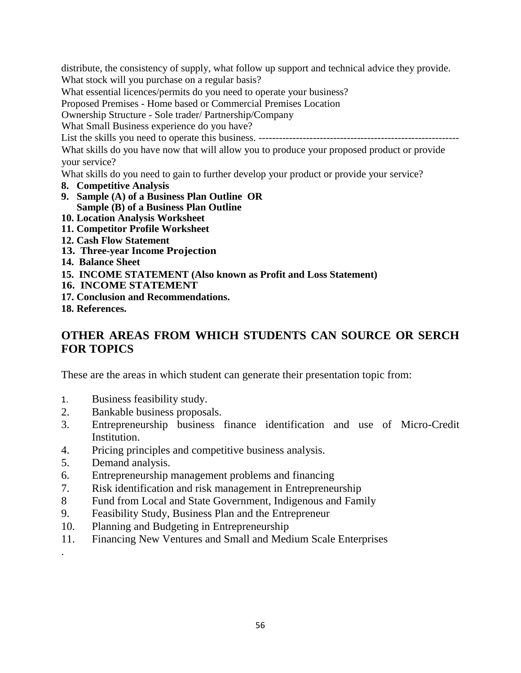distribute, the consistency of supply, what follow up support and technical advice they provide.

What stock will you purchase on a regular basis?

What essential licences/permits do you need to operate your business?

Proposed Premises - Home based or Commercial Premises Location

Ownership Structure - Sole trader/ Partnership/Company

What Small Business experience do you have?

List the skills you need to operate this business. -----------------------------------------------------------

What skills do you have now that will allow you to produce your proposed product or provide your service?

What skills do you need to gain to further develop your product or provide your service?

- **8. Competitive Analysis**
- **9. Sample (A) of a Business Plan Outline OR Sample (B) of a Business Plan Outline**
- **10. Location Analysis Worksheet**
- **11. Competitor Profile Worksheet**
- **12. Cash Flow Statement**
- **13. Three-year Income Projection**
- **14. Balance Sheet**
- **15. INCOME STATEMENT (Also known as Profit and Loss Statement)**
- **16. INCOME STATEMENT**
- **17. Conclusion and Recommendations.**
- **18. References.**

# **OTHER AREAS FROM WHICH STUDENTS CAN SOURCE OR SERCH FOR TOPICS**

These are the areas in which student can generate their presentation topic from:

- 1. Business feasibility study.
- 2. Bankable business proposals.
- 3. Entrepreneurship business finance identification and use of Micro-Credit Institution.
- 4. Pricing principles and competitive business analysis.
- 5. Demand analysis.

.

- 6. Entrepreneurship management problems and financing
- 7. Risk identification and risk management in Entrepreneurship
- 8 Fund from Local and State Government, Indigenous and Family
- 9. Feasibility Study, Business Plan and the Entrepreneur
- 10. Planning and Budgeting in Entrepreneurship
- 11. Financing New Ventures and Small and Medium Scale Enterprises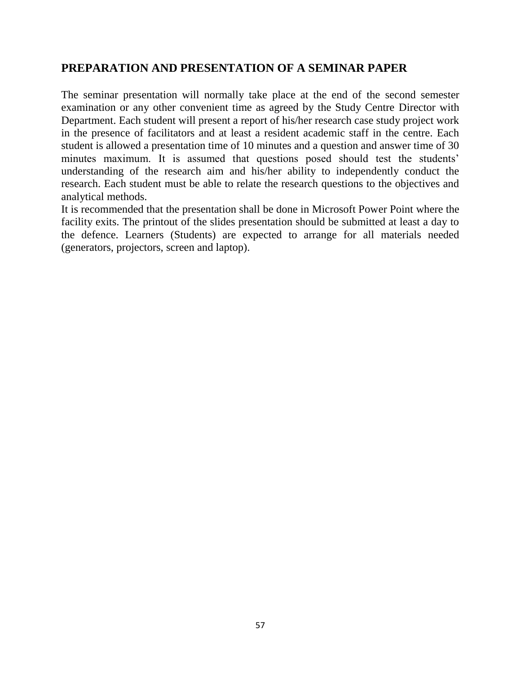# **PREPARATION AND PRESENTATION OF A SEMINAR PAPER**

The seminar presentation will normally take place at the end of the second semester examination or any other convenient time as agreed by the Study Centre Director with Department. Each student will present a report of his/her research case study project work in the presence of facilitators and at least a resident academic staff in the centre. Each student is allowed a presentation time of 10 minutes and a question and answer time of 30 minutes maximum. It is assumed that questions posed should test the students' understanding of the research aim and his/her ability to independently conduct the research. Each student must be able to relate the research questions to the objectives and analytical methods.

It is recommended that the presentation shall be done in Microsoft Power Point where the facility exits. The printout of the slides presentation should be submitted at least a day to the defence. Learners (Students) are expected to arrange for all materials needed (generators, projectors, screen and laptop).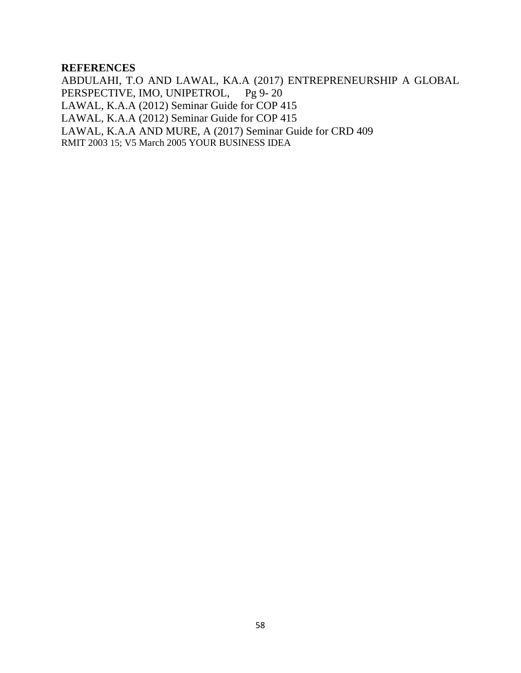#### **REFERENCES**

ABDULAHI, T.O AND LAWAL, KA.A (2017) ENTREPRENEURSHIP A GLOBAL PERSPECTIVE, IMO, UNIPETROL, Pg 9-20 LAWAL, K.A.A (2012) Seminar Guide for COP 415 LAWAL, K.A.A (2012) Seminar Guide for COP 415 LAWAL, K.A.A AND MURE, A (2017) Seminar Guide for CRD 409 RMIT 2003 15; V5 March 2005 YOUR BUSINESS IDEA